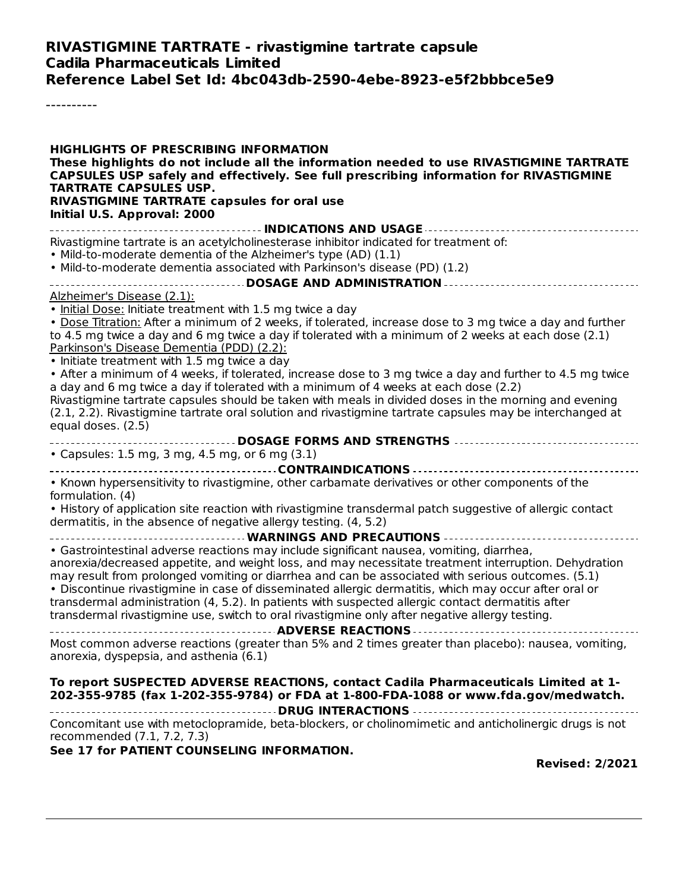### **RIVASTIGMINE TARTRATE - rivastigmine tartrate capsule Cadila Pharmaceuticals Limited Reference Label Set Id: 4bc043db-2590-4ebe-8923-e5f2bbbce5e9**

----------

| <b>HIGHLIGHTS OF PRESCRIBING INFORMATION</b><br>These highlights do not include all the information needed to use RIVASTIGMINE TARTRATE<br>CAPSULES USP safely and effectively. See full prescribing information for RIVASTIGMINE<br><b>TARTRATE CAPSULES USP.</b><br>RIVASTIGMINE TARTRATE capsules for oral use<br>Initial U.S. Approval: 2000                                                                                                                                                                                                                                                                                            |
|---------------------------------------------------------------------------------------------------------------------------------------------------------------------------------------------------------------------------------------------------------------------------------------------------------------------------------------------------------------------------------------------------------------------------------------------------------------------------------------------------------------------------------------------------------------------------------------------------------------------------------------------|
|                                                                                                                                                                                                                                                                                                                                                                                                                                                                                                                                                                                                                                             |
| Rivastigmine tartrate is an acetylcholinesterase inhibitor indicated for treatment of:<br>. Mild-to-moderate dementia of the Alzheimer's type (AD) (1.1)<br>. Mild-to-moderate dementia associated with Parkinson's disease (PD) (1.2)                                                                                                                                                                                                                                                                                                                                                                                                      |
| -------------------- DOSAGE AND ADMINISTRATION -----------------------------------                                                                                                                                                                                                                                                                                                                                                                                                                                                                                                                                                          |
| Alzheimer's Disease (2.1):                                                                                                                                                                                                                                                                                                                                                                                                                                                                                                                                                                                                                  |
| . Initial Dose: Initiate treatment with 1.5 mg twice a day<br>. Dose Titration: After a minimum of 2 weeks, if tolerated, increase dose to 3 mg twice a day and further<br>to 4.5 mg twice a day and 6 mg twice a day if tolerated with a minimum of 2 weeks at each dose (2.1)<br>Parkinson's Disease Dementia (PDD) (2.2):<br>• Initiate treatment with 1.5 mg twice a day                                                                                                                                                                                                                                                                |
| • After a minimum of 4 weeks, if tolerated, increase dose to 3 mg twice a day and further to 4.5 mg twice<br>a day and 6 mg twice a day if tolerated with a minimum of 4 weeks at each dose (2.2)<br>Rivastigmine tartrate capsules should be taken with meals in divided doses in the morning and evening<br>(2.1, 2.2). Rivastigmine tartrate oral solution and rivastigmine tartrate capsules may be interchanged at<br>equal doses. (2.5)                                                                                                                                                                                               |
|                                                                                                                                                                                                                                                                                                                                                                                                                                                                                                                                                                                                                                             |
| • Capsules: 1.5 mg, 3 mg, 4.5 mg, or 6 mg (3.1)                                                                                                                                                                                                                                                                                                                                                                                                                                                                                                                                                                                             |
|                                                                                                                                                                                                                                                                                                                                                                                                                                                                                                                                                                                                                                             |
| . Known hypersensitivity to rivastigmine, other carbamate derivatives or other components of the<br>formulation. (4)<br>. History of application site reaction with rivastigmine transdermal patch suggestive of allergic contact<br>dermatitis, in the absence of negative allergy testing. (4, 5.2)                                                                                                                                                                                                                                                                                                                                       |
| WARNINGS AND PRECAUTIONS                                                                                                                                                                                                                                                                                                                                                                                                                                                                                                                                                                                                                    |
| • Gastrointestinal adverse reactions may include significant nausea, vomiting, diarrhea,<br>anorexia/decreased appetite, and weight loss, and may necessitate treatment interruption. Dehydration<br>may result from prolonged vomiting or diarrhea and can be associated with serious outcomes. (5.1)<br>· Discontinue rivastigmine in case of disseminated allergic dermatitis, which may occur after oral or<br>transdermal administration (4, 5.2). In patients with suspected allergic contact dermatitis after<br>transdermal rivastigmine use, switch to oral rivastigmine only after negative allergy testing.<br>ADVERSE REACTIONS |
| Most common adverse reactions (greater than 5% and 2 times greater than placebo): nausea, vomiting,<br>anorexia, dyspepsia, and asthenia (6.1)                                                                                                                                                                                                                                                                                                                                                                                                                                                                                              |
| To report SUSPECTED ADVERSE REACTIONS, contact Cadila Pharmaceuticals Limited at 1-<br>202-355-9785 (fax 1-202-355-9784) or FDA at 1-800-FDA-1088 or www.fda.gov/medwatch.                                                                                                                                                                                                                                                                                                                                                                                                                                                                  |
| Concomitant use with metoclopramide, beta-blockers, or cholinomimetic and anticholinergic drugs is not<br>recommended (7.1, 7.2, 7.3)                                                                                                                                                                                                                                                                                                                                                                                                                                                                                                       |
| See 17 for PATIENT COUNSELING INFORMATION.<br><b>Revised: 2/2021</b>                                                                                                                                                                                                                                                                                                                                                                                                                                                                                                                                                                        |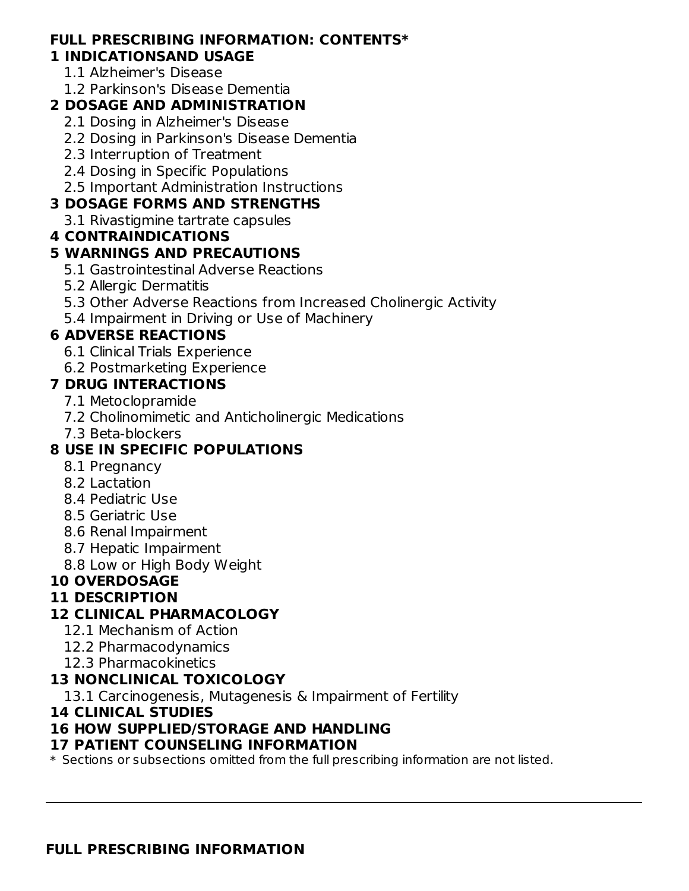#### **FULL PRESCRIBING INFORMATION: CONTENTS\* 1 INDICATIONSAND USAGE**

- 1.1 Alzheimer's Disease
- 1.2 Parkinson's Disease Dementia

# **2 DOSAGE AND ADMINISTRATION**

- 2.1 Dosing in Alzheimer's Disease
- 2.2 Dosing in Parkinson's Disease Dementia
- 2.3 Interruption of Treatment
- 2.4 Dosing in Specific Populations
- 2.5 Important Administration Instructions

## **3 DOSAGE FORMS AND STRENGTHS**

3.1 Rivastigmine tartrate capsules

## **4 CONTRAINDICATIONS**

## **5 WARNINGS AND PRECAUTIONS**

- 5.1 Gastrointestinal Adverse Reactions
- 5.2 Allergic Dermatitis
- 5.3 Other Adverse Reactions from Increased Cholinergic Activity
- 5.4 Impairment in Driving or Use of Machinery

# **6 ADVERSE REACTIONS**

- 6.1 Clinical Trials Experience
- 6.2 Postmarketing Experience

## **7 DRUG INTERACTIONS**

- 7.1 Metoclopramide
- 7.2 Cholinomimetic and Anticholinergic Medications
- 7.3 Beta-blockers

# **8 USE IN SPECIFIC POPULATIONS**

- 8.1 Pregnancy
- 8.2 Lactation
- 8.4 Pediatric Use
- 8.5 Geriatric Use
- 8.6 Renal Impairment
- 8.7 Hepatic Impairment
- 8.8 Low or High Body Weight

## **10 OVERDOSAGE**

## **11 DESCRIPTION**

## **12 CLINICAL PHARMACOLOGY**

- 12.1 Mechanism of Action
- 12.2 Pharmacodynamics
- 12.3 Pharmacokinetics

## **13 NONCLINICAL TOXICOLOGY**

13.1 Carcinogenesis, Mutagenesis & Impairment of Fertility

## **14 CLINICAL STUDIES**

## **16 HOW SUPPLIED/STORAGE AND HANDLING**

## **17 PATIENT COUNSELING INFORMATION**

 $\ast$  Sections or subsections omitted from the full prescribing information are not listed.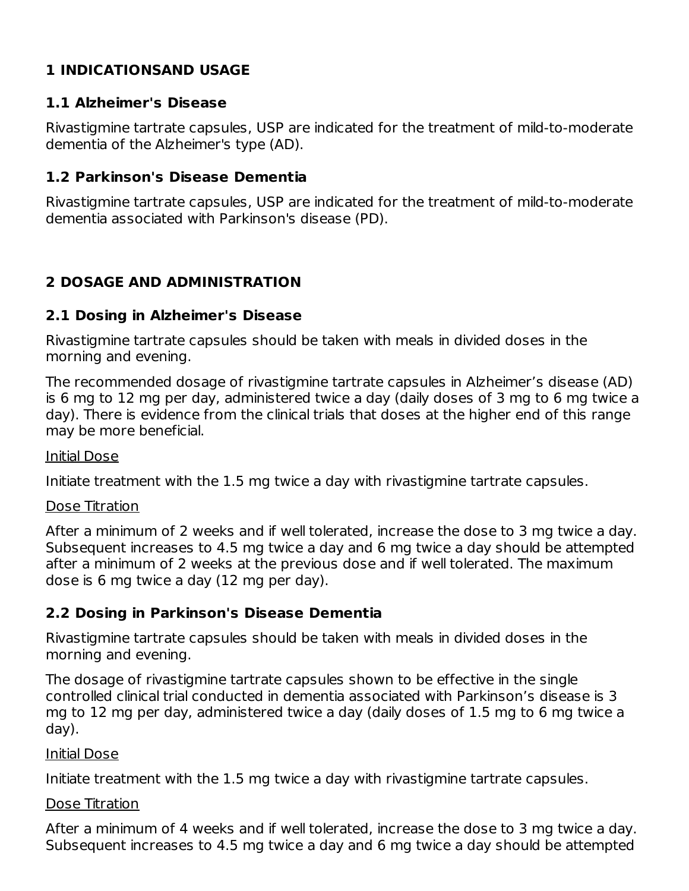# **1 INDICATIONSAND USAGE**

### **1.1 Alzheimer's Disease**

Rivastigmine tartrate capsules, USP are indicated for the treatment of mild-to-moderate dementia of the Alzheimer's type (AD).

### **1.2 Parkinson's Disease Dementia**

Rivastigmine tartrate capsules, USP are indicated for the treatment of mild-to-moderate dementia associated with Parkinson's disease (PD).

## **2 DOSAGE AND ADMINISTRATION**

### **2.1 Dosing in Alzheimer's Disease**

Rivastigmine tartrate capsules should be taken with meals in divided doses in the morning and evening.

The recommended dosage of rivastigmine tartrate capsules in Alzheimer's disease (AD) is 6 mg to 12 mg per day, administered twice a day (daily doses of 3 mg to 6 mg twice a day). There is evidence from the clinical trials that doses at the higher end of this range may be more beneficial.

### Initial Dose

Initiate treatment with the 1.5 mg twice a day with rivastigmine tartrate capsules.

### Dose Titration

After a minimum of 2 weeks and if well tolerated, increase the dose to 3 mg twice a day. Subsequent increases to 4.5 mg twice a day and 6 mg twice a day should be attempted after a minimum of 2 weeks at the previous dose and if well tolerated. The maximum dose is 6 mg twice a day (12 mg per day).

## **2.2 Dosing in Parkinson's Disease Dementia**

Rivastigmine tartrate capsules should be taken with meals in divided doses in the morning and evening.

The dosage of rivastigmine tartrate capsules shown to be effective in the single controlled clinical trial conducted in dementia associated with Parkinson's disease is 3 mg to 12 mg per day, administered twice a day (daily doses of 1.5 mg to 6 mg twice a day).

#### Initial Dose

Initiate treatment with the 1.5 mg twice a day with rivastigmine tartrate capsules.

### Dose Titration

After a minimum of 4 weeks and if well tolerated, increase the dose to 3 mg twice a day. Subsequent increases to 4.5 mg twice a day and 6 mg twice a day should be attempted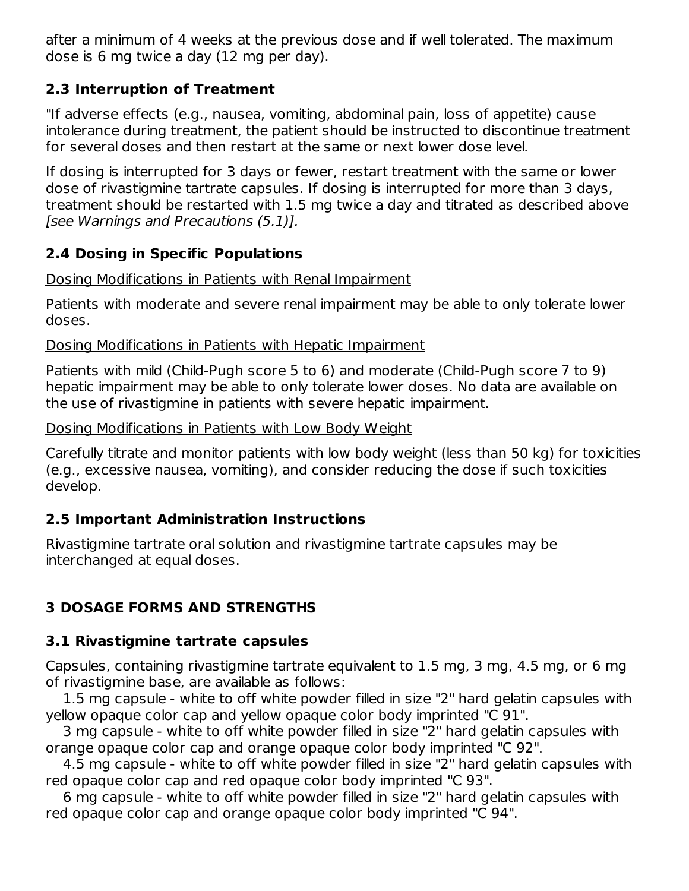after a minimum of 4 weeks at the previous dose and if well tolerated. The maximum dose is 6 mg twice a day (12 mg per day).

## **2.3 Interruption of Treatment**

"If adverse effects (e.g., nausea, vomiting, abdominal pain, loss of appetite) cause intolerance during treatment, the patient should be instructed to discontinue treatment for several doses and then restart at the same or next lower dose level.

If dosing is interrupted for 3 days or fewer, restart treatment with the same or lower dose of rivastigmine tartrate capsules. If dosing is interrupted for more than 3 days, treatment should be restarted with 1.5 mg twice a day and titrated as described above [see Warnings and Precautions (5.1)].

## **2.4 Dosing in Specific Populations**

## Dosing Modifications in Patients with Renal Impairment

Patients with moderate and severe renal impairment may be able to only tolerate lower doses.

## Dosing Modifications in Patients with Hepatic Impairment

Patients with mild (Child-Pugh score 5 to 6) and moderate (Child-Pugh score 7 to 9) hepatic impairment may be able to only tolerate lower doses. No data are available on the use of rivastigmine in patients with severe hepatic impairment.

### Dosing Modifications in Patients with Low Body Weight

Carefully titrate and monitor patients with low body weight (less than 50 kg) for toxicities (e.g., excessive nausea, vomiting), and consider reducing the dose if such toxicities develop.

## **2.5 Important Administration Instructions**

Rivastigmine tartrate oral solution and rivastigmine tartrate capsules may be interchanged at equal doses.

# **3 DOSAGE FORMS AND STRENGTHS**

## **3.1 Rivastigmine tartrate capsules**

Capsules, containing rivastigmine tartrate equivalent to 1.5 mg, 3 mg, 4.5 mg, or 6 mg of rivastigmine base, are available as follows:

1.5 mg capsule - white to off white powder filled in size "2" hard gelatin capsules with yellow opaque color cap and yellow opaque color body imprinted "C 91".

3 mg capsule - white to off white powder filled in size "2" hard gelatin capsules with orange opaque color cap and orange opaque color body imprinted "C 92".

4.5 mg capsule - white to off white powder filled in size "2" hard gelatin capsules with red opaque color cap and red opaque color body imprinted "C 93".

6 mg capsule - white to off white powder filled in size "2" hard gelatin capsules with red opaque color cap and orange opaque color body imprinted "C 94".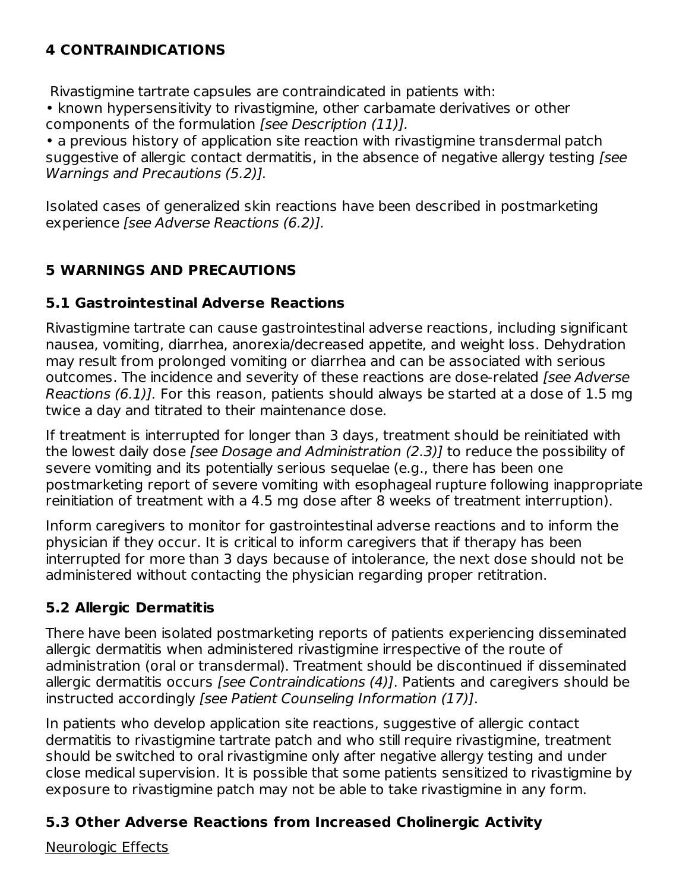# **4 CONTRAINDICATIONS**

Rivastigmine tartrate capsules are contraindicated in patients with:

• known hypersensitivity to rivastigmine, other carbamate derivatives or other components of the formulation *[see Description (11)]*.

• a previous history of application site reaction with rivastigmine transdermal patch suggestive of allergic contact dermatitis, in the absence of negative allergy testing [see Warnings and Precautions (5.2)].

Isolated cases of generalized skin reactions have been described in postmarketing experience [see Adverse Reactions (6.2)].

## **5 WARNINGS AND PRECAUTIONS**

### **5.1 Gastrointestinal Adverse Reactions**

Rivastigmine tartrate can cause gastrointestinal adverse reactions, including significant nausea, vomiting, diarrhea, anorexia/decreased appetite, and weight loss. Dehydration may result from prolonged vomiting or diarrhea and can be associated with serious outcomes. The incidence and severity of these reactions are dose-related [see Adverse Reactions (6.1)]. For this reason, patients should always be started at a dose of 1.5 mg twice a day and titrated to their maintenance dose.

If treatment is interrupted for longer than 3 days, treatment should be reinitiated with the lowest daily dose *[see Dosage and Administration (2.3)*] to reduce the possibility of severe vomiting and its potentially serious sequelae (e.g., there has been one postmarketing report of severe vomiting with esophageal rupture following inappropriate reinitiation of treatment with a 4.5 mg dose after 8 weeks of treatment interruption).

Inform caregivers to monitor for gastrointestinal adverse reactions and to inform the physician if they occur. It is critical to inform caregivers that if therapy has been interrupted for more than 3 days because of intolerance, the next dose should not be administered without contacting the physician regarding proper retitration.

## **5.2 Allergic Dermatitis**

There have been isolated postmarketing reports of patients experiencing disseminated allergic dermatitis when administered rivastigmine irrespective of the route of administration (oral or transdermal). Treatment should be discontinued if disseminated allergic dermatitis occurs [see Contraindications (4)]. Patients and caregivers should be instructed accordingly [see Patient Counseling Information (17)].

In patients who develop application site reactions, suggestive of allergic contact dermatitis to rivastigmine tartrate patch and who still require rivastigmine, treatment should be switched to oral rivastigmine only after negative allergy testing and under close medical supervision. It is possible that some patients sensitized to rivastigmine by exposure to rivastigmine patch may not be able to take rivastigmine in any form.

## **5.3 Other Adverse Reactions from Increased Cholinergic Activity**

Neurologic Effects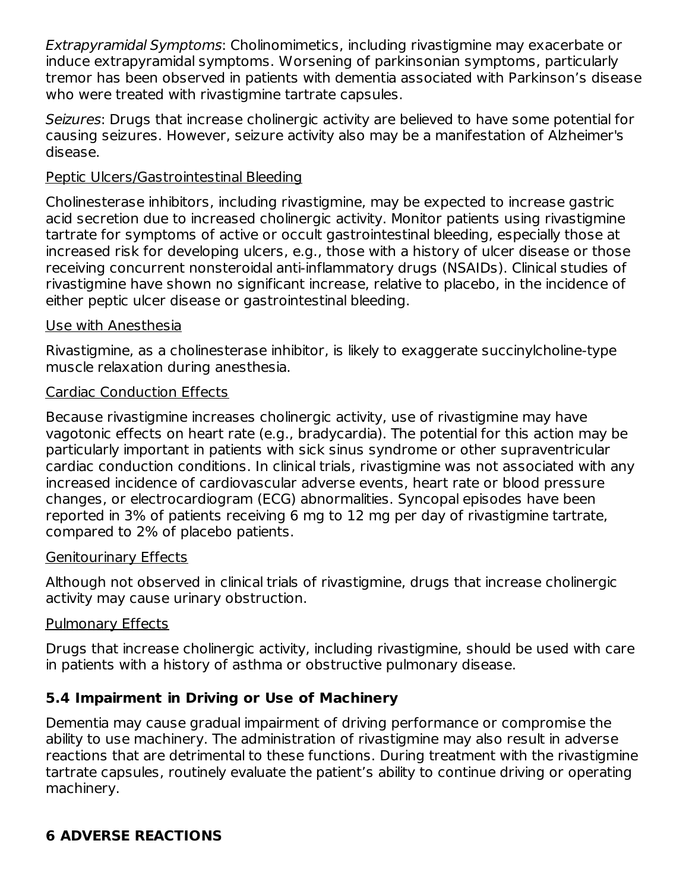Extrapyramidal Symptoms: Cholinomimetics, including rivastigmine may exacerbate or induce extrapyramidal symptoms. Worsening of parkinsonian symptoms, particularly tremor has been observed in patients with dementia associated with Parkinson's disease who were treated with rivastigmine tartrate capsules.

Seizures: Drugs that increase cholinergic activity are believed to have some potential for causing seizures. However, seizure activity also may be a manifestation of Alzheimer's disease.

### Peptic Ulcers/Gastrointestinal Bleeding

Cholinesterase inhibitors, including rivastigmine, may be expected to increase gastric acid secretion due to increased cholinergic activity. Monitor patients using rivastigmine tartrate for symptoms of active or occult gastrointestinal bleeding, especially those at increased risk for developing ulcers, e.g., those with a history of ulcer disease or those receiving concurrent nonsteroidal anti-inflammatory drugs (NSAIDs). Clinical studies of rivastigmine have shown no significant increase, relative to placebo, in the incidence of either peptic ulcer disease or gastrointestinal bleeding.

### Use with Anesthesia

Rivastigmine, as a cholinesterase inhibitor, is likely to exaggerate succinylcholine-type muscle relaxation during anesthesia.

## Cardiac Conduction Effects

Because rivastigmine increases cholinergic activity, use of rivastigmine may have vagotonic effects on heart rate (e.g., bradycardia). The potential for this action may be particularly important in patients with sick sinus syndrome or other supraventricular cardiac conduction conditions. In clinical trials, rivastigmine was not associated with any increased incidence of cardiovascular adverse events, heart rate or blood pressure changes, or electrocardiogram (ECG) abnormalities. Syncopal episodes have been reported in 3% of patients receiving 6 mg to 12 mg per day of rivastigmine tartrate, compared to 2% of placebo patients.

## Genitourinary Effects

Although not observed in clinical trials of rivastigmine, drugs that increase cholinergic activity may cause urinary obstruction.

## Pulmonary Effects

Drugs that increase cholinergic activity, including rivastigmine, should be used with care in patients with a history of asthma or obstructive pulmonary disease.

## **5.4 Impairment in Driving or Use of Machinery**

Dementia may cause gradual impairment of driving performance or compromise the ability to use machinery. The administration of rivastigmine may also result in adverse reactions that are detrimental to these functions. During treatment with the rivastigmine tartrate capsules, routinely evaluate the patient's ability to continue driving or operating machinery.

## **6 ADVERSE REACTIONS**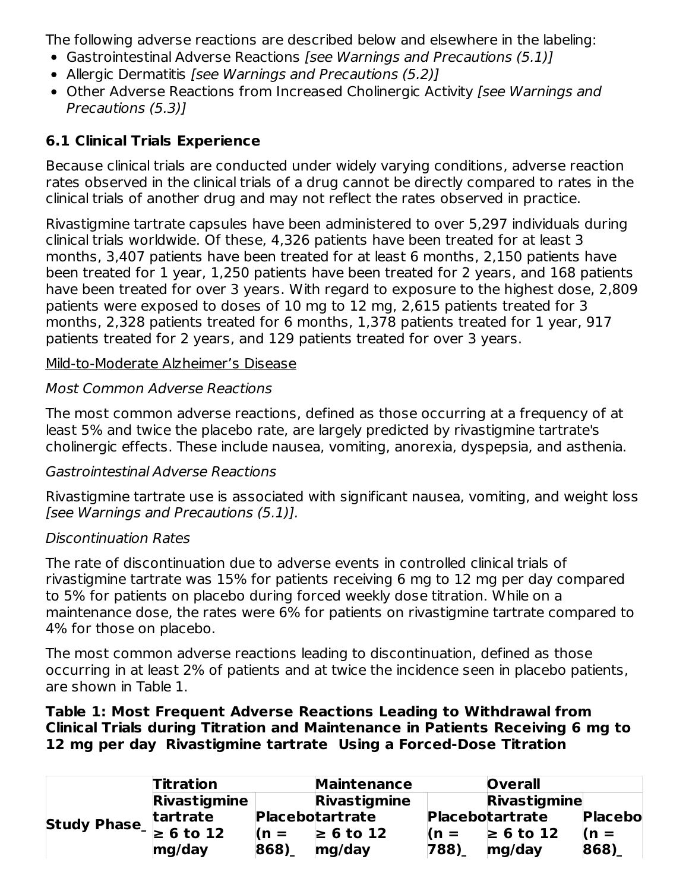The following adverse reactions are described below and elsewhere in the labeling:

- Gastrointestinal Adverse Reactions [see Warnings and Precautions (5.1)]
- Allergic Dermatitis [see Warnings and Precautions (5.2)]
- Other Adverse Reactions from Increased Cholinergic Activity [see Warnings and Precautions (5.3)]

## **6.1 Clinical Trials Experience**

Because clinical trials are conducted under widely varying conditions, adverse reaction rates observed in the clinical trials of a drug cannot be directly compared to rates in the clinical trials of another drug and may not reflect the rates observed in practice.

Rivastigmine tartrate capsules have been administered to over 5,297 individuals during clinical trials worldwide. Of these, 4,326 patients have been treated for at least 3 months, 3,407 patients have been treated for at least 6 months, 2,150 patients have been treated for 1 year, 1,250 patients have been treated for 2 years, and 168 patients have been treated for over 3 years. With regard to exposure to the highest dose, 2,809 patients were exposed to doses of 10 mg to 12 mg, 2,615 patients treated for 3 months, 2,328 patients treated for 6 months, 1,378 patients treated for 1 year, 917 patients treated for 2 years, and 129 patients treated for over 3 years.

### Mild-to-Moderate Alzheimer's Disease

### Most Common Adverse Reactions

The most common adverse reactions, defined as those occurring at a frequency of at least 5% and twice the placebo rate, are largely predicted by rivastigmine tartrate's cholinergic effects. These include nausea, vomiting, anorexia, dyspepsia, and asthenia.

### Gastrointestinal Adverse Reactions

Rivastigmine tartrate use is associated with significant nausea, vomiting, and weight loss [see Warnings and Precautions (5.1)].

### Discontinuation Rates

The rate of discontinuation due to adverse events in controlled clinical trials of rivastigmine tartrate was 15% for patients receiving 6 mg to 12 mg per day compared to 5% for patients on placebo during forced weekly dose titration. While on a maintenance dose, the rates were 6% for patients on rivastigmine tartrate compared to 4% for those on placebo.

The most common adverse reactions leading to discontinuation, defined as those occurring in at least 2% of patients and at twice the incidence seen in placebo patients, are shown in Table 1.

#### **Table 1: Most Frequent Adverse Reactions Leading to Withdrawal from Clinical Trials during Titration and Maintenance in Patients Receiving 6 mg to 12 mg per day Rivastigmine tartrate Using a Forced-Dose Titration**

|                            | <b>Titration</b>    |        | <b>Maintenance</b>     |              | <b>Overall</b>         |                |  |
|----------------------------|---------------------|--------|------------------------|--------------|------------------------|----------------|--|
|                            | <b>Rivastigmine</b> |        | Rivastigmine           | Rivastigmine |                        |                |  |
|                            | tartrate            |        | <b>Placebotartrate</b> |              | <b>Placebotartrate</b> | <b>Placebo</b> |  |
| Study Phase $\geq 6$ to 12 |                     | $(n =$ | $\geq 6$ to 12         | $\ln =$      | $\geq 6$ to 12         | $(n =$         |  |
|                            | mg/day              | 868)   | mg/day                 | 788)         | mg/day                 | 868)           |  |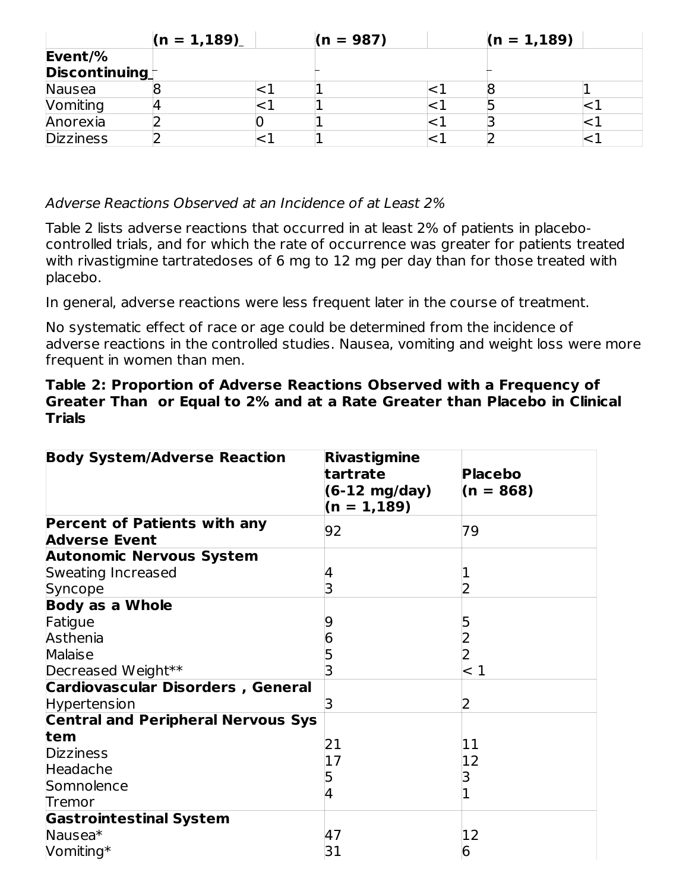|                  | $(n = 1, 189)$ |  | $(n = 987)$ |  | $(n = 1, 189)$ |  |
|------------------|----------------|--|-------------|--|----------------|--|
| Event/%          |                |  |             |  |                |  |
| Discontinuing    |                |  |             |  |                |  |
| Nausea           |                |  |             |  |                |  |
| <b>Vomiting</b>  |                |  |             |  |                |  |
| Anorexia         |                |  |             |  |                |  |
| <b>Dizziness</b> |                |  |             |  |                |  |

Adverse Reactions Observed at an Incidence of at Least 2%

Table 2 lists adverse reactions that occurred in at least 2% of patients in placebocontrolled trials, and for which the rate of occurrence was greater for patients treated with rivastigmine tartratedoses of 6 mg to 12 mg per day than for those treated with placebo.

In general, adverse reactions were less frequent later in the course of treatment.

No systematic effect of race or age could be determined from the incidence of adverse reactions in the controlled studies. Nausea, vomiting and weight loss were more frequent in women than men.

#### **Table 2: Proportion of Adverse Reactions Observed with a Frequency of Greater Than or Equal to 2% and at a Rate Greater than Placebo in Clinical Trials**

| <b>Body System/Adverse Reaction</b>                         | <b>Rivastigmine</b><br>tartrate<br>$(6-12 \text{ mg/day})$<br>$(n = 1, 189)$ | <b>Placebo</b><br>$(n = 868)$ |
|-------------------------------------------------------------|------------------------------------------------------------------------------|-------------------------------|
| <b>Percent of Patients with any</b><br><b>Adverse Event</b> | 92                                                                           | 79                            |
| <b>Autonomic Nervous System</b>                             |                                                                              |                               |
| Sweating Increased                                          | 4                                                                            |                               |
| Syncope                                                     | 3                                                                            |                               |
| <b>Body as a Whole</b>                                      |                                                                              |                               |
| Fatigue                                                     |                                                                              |                               |
| Asthenia                                                    | 6                                                                            |                               |
| Malaise                                                     |                                                                              |                               |
| Decreased Weight**                                          |                                                                              | - 1                           |
| <b>Cardiovascular Disorders, General</b>                    |                                                                              |                               |
| <b>Hypertension</b>                                         | З                                                                            | 2                             |
| <b>Central and Peripheral Nervous Sys</b>                   |                                                                              |                               |
| tem                                                         | 21                                                                           | 11                            |
| <b>Dizziness</b>                                            | 17                                                                           | 12                            |
| Headache                                                    |                                                                              |                               |
| Somnolence                                                  | 4                                                                            |                               |
| Tremor                                                      |                                                                              |                               |
| <b>Gastrointestinal System</b>                              |                                                                              |                               |
| Nausea <sup>*</sup>                                         | 47                                                                           | 12                            |
| Vomiting*                                                   | 31                                                                           | 6                             |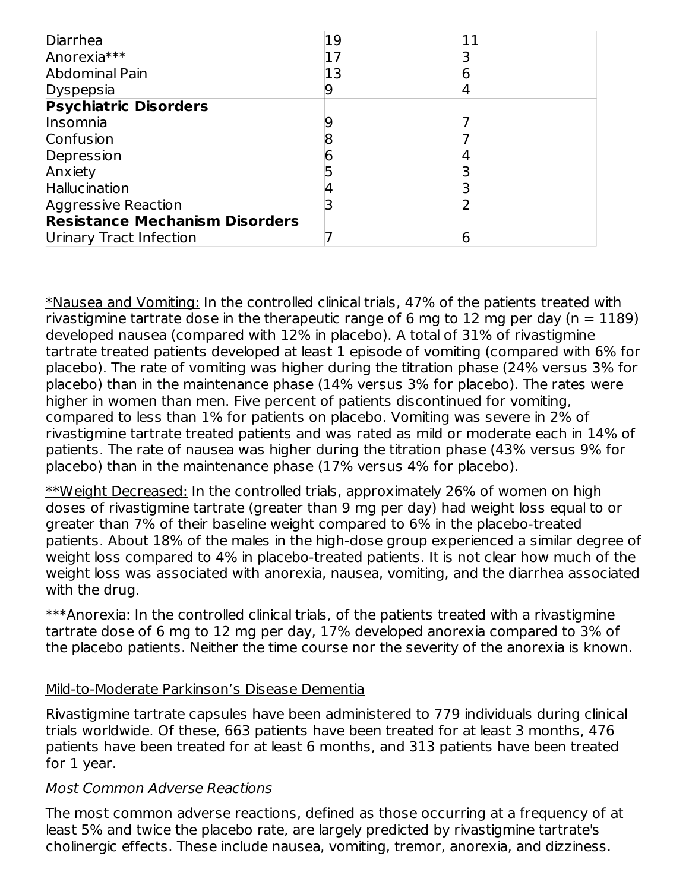| Diarrhea                              | 19 |  |
|---------------------------------------|----|--|
| Anorexia***                           |    |  |
| Abdominal Pain                        |    |  |
| Dyspepsia                             |    |  |
| <b>Psychiatric Disorders</b>          |    |  |
| Insomnia                              |    |  |
| Confusion                             |    |  |
| Depression                            |    |  |
| Anxiety                               |    |  |
| Hallucination                         |    |  |
| <b>Aggressive Reaction</b>            |    |  |
| <b>Resistance Mechanism Disorders</b> |    |  |
| Urinary Tract Infection               |    |  |

\*Nausea and Vomiting: In the controlled clinical trials, 47% of the patients treated with rivastigmine tartrate dose in the therapeutic range of 6 mg to 12 mg per day ( $n = 1189$ ) developed nausea (compared with 12% in placebo). A total of 31% of rivastigmine tartrate treated patients developed at least 1 episode of vomiting (compared with 6% for placebo). The rate of vomiting was higher during the titration phase (24% versus 3% for placebo) than in the maintenance phase (14% versus 3% for placebo). The rates were higher in women than men. Five percent of patients discontinued for vomiting, compared to less than 1% for patients on placebo. Vomiting was severe in 2% of rivastigmine tartrate treated patients and was rated as mild or moderate each in 14% of patients. The rate of nausea was higher during the titration phase (43% versus 9% for placebo) than in the maintenance phase (17% versus 4% for placebo).

\*\*Weight Decreased: In the controlled trials, approximately 26% of women on high doses of rivastigmine tartrate (greater than 9 mg per day) had weight loss equal to or greater than 7% of their baseline weight compared to 6% in the placebo-treated patients. About 18% of the males in the high-dose group experienced a similar degree of weight loss compared to 4% in placebo-treated patients. It is not clear how much of the weight loss was associated with anorexia, nausea, vomiting, and the diarrhea associated with the drug.

 $***$ Anorexia: In the controlled clinical trials, of the patients treated with a rivastigmine tartrate dose of 6 mg to 12 mg per day, 17% developed anorexia compared to 3% of the placebo patients. Neither the time course nor the severity of the anorexia is known.

### Mild-to-Moderate Parkinson's Disease Dementia

Rivastigmine tartrate capsules have been administered to 779 individuals during clinical trials worldwide. Of these, 663 patients have been treated for at least 3 months, 476 patients have been treated for at least 6 months, and 313 patients have been treated for 1 year.

#### Most Common Adverse Reactions

The most common adverse reactions, defined as those occurring at a frequency of at least 5% and twice the placebo rate, are largely predicted by rivastigmine tartrate's cholinergic effects. These include nausea, vomiting, tremor, anorexia, and dizziness.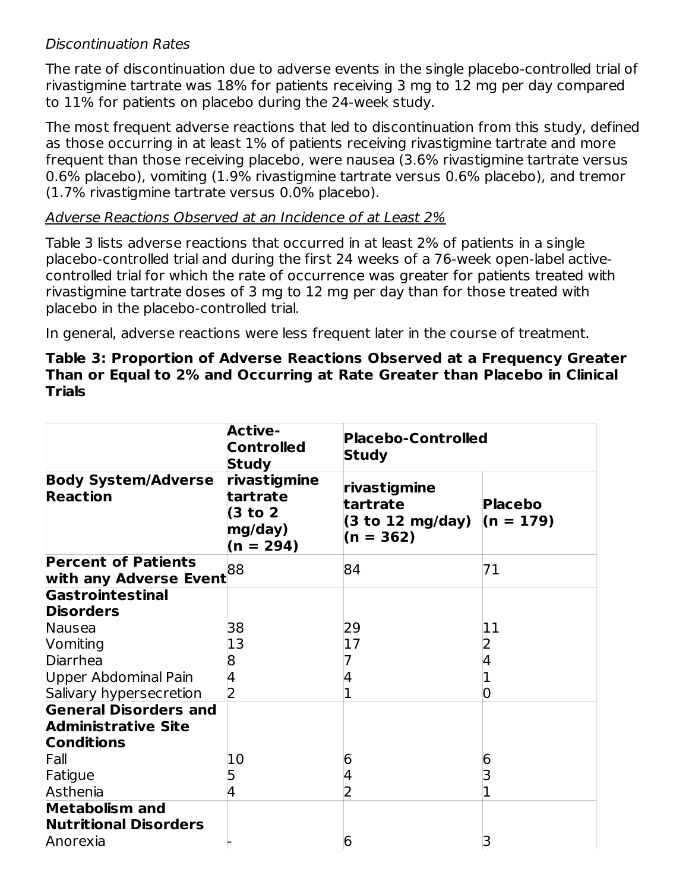### Discontinuation Rates

The rate of discontinuation due to adverse events in the single placebo-controlled trial of rivastigmine tartrate was 18% for patients receiving 3 mg to 12 mg per day compared to 11% for patients on placebo during the 24-week study.

The most frequent adverse reactions that led to discontinuation from this study, defined as those occurring in at least 1% of patients receiving rivastigmine tartrate and more frequent than those receiving placebo, were nausea (3.6% rivastigmine tartrate versus 0.6% placebo), vomiting (1.9% rivastigmine tartrate versus 0.6% placebo), and tremor (1.7% rivastigmine tartrate versus 0.0% placebo).

#### Adverse Reactions Observed at an Incidence of at Least 2%

Table 3 lists adverse reactions that occurred in at least 2% of patients in a single placebo-controlled trial and during the first 24 weeks of a 76-week open-label activecontrolled trial for which the rate of occurrence was greater for patients treated with rivastigmine tartrate doses of 3 mg to 12 mg per day than for those treated with placebo in the placebo-controlled trial.

In general, adverse reactions were less frequent later in the course of treatment.

#### **Table 3: Proportion of Adverse Reactions Observed at a Frequency Greater Than or Equal to 2% and Occurring at Rate Greater than Placebo in Clinical Trials**

|                                                                   | <b>Active-</b><br><b>Controlled</b><br><b>Study</b>           | <b>Placebo-Controlled</b><br><b>Study</b>                     |                               |  |  |
|-------------------------------------------------------------------|---------------------------------------------------------------|---------------------------------------------------------------|-------------------------------|--|--|
| <b>Body System/Adverse</b><br><b>Reaction</b>                     | rivastigmine<br>tartrate<br>(3 to 2<br>mg/day)<br>$(n = 294)$ | rivastigmine<br>tartrate<br>$(3$ to 12 mg/day)<br>$(n = 362)$ | <b>Placebo</b><br>$(n = 179)$ |  |  |
| <b>Percent of Patients</b>                                        |                                                               | 84                                                            | 71                            |  |  |
| with any Adverse Event <sup>88</sup>                              |                                                               |                                                               |                               |  |  |
| Gastrointestinal                                                  |                                                               |                                                               |                               |  |  |
| <b>Disorders</b>                                                  |                                                               |                                                               |                               |  |  |
| Nausea                                                            | 38                                                            | 29                                                            | 11                            |  |  |
| Vomiting                                                          | 13                                                            | 17                                                            |                               |  |  |
| Diarrhea                                                          | 8                                                             |                                                               |                               |  |  |
| <b>Upper Abdominal Pain</b>                                       | 4                                                             |                                                               |                               |  |  |
| Salivary hypersecretion                                           |                                                               |                                                               |                               |  |  |
| <b>General Disorders and</b>                                      |                                                               |                                                               |                               |  |  |
| <b>Administrative Site</b>                                        |                                                               |                                                               |                               |  |  |
| <b>Conditions</b>                                                 |                                                               |                                                               |                               |  |  |
| Fall                                                              | 10                                                            | 6                                                             | ხ                             |  |  |
| Fatigue                                                           |                                                               |                                                               |                               |  |  |
| Asthenia                                                          |                                                               |                                                               |                               |  |  |
| <b>Metabolism and</b><br><b>Nutritional Disorders</b><br>Anorexia |                                                               | 6                                                             |                               |  |  |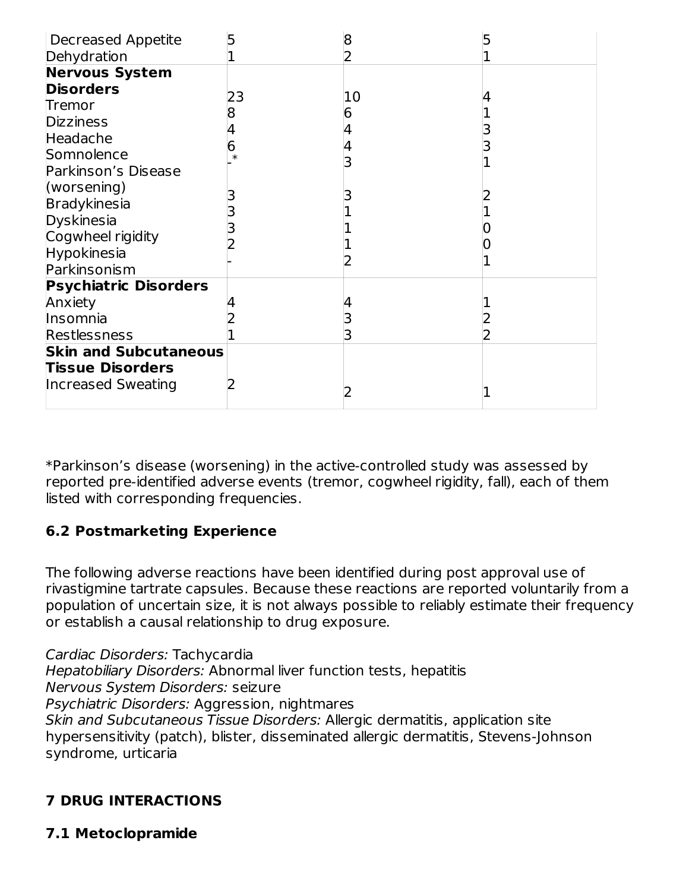| <b>Decreased Appetite</b>    |    |    |  |
|------------------------------|----|----|--|
| Dehydration                  |    |    |  |
| <b>Nervous System</b>        |    |    |  |
| <b>Disorders</b>             | 23 | 10 |  |
| Tremor                       |    |    |  |
| <b>Dizziness</b>             |    | 6  |  |
| Headache                     |    |    |  |
| Somnolence                   |    |    |  |
| Parkinson's Disease          |    |    |  |
| (worsening)                  |    |    |  |
| Bradykinesia                 |    |    |  |
| Dyskinesia                   |    |    |  |
| Cogwheel rigidity            |    |    |  |
| <b>Hypokinesia</b>           |    |    |  |
| Parkinsonism                 |    |    |  |
| <b>Psychiatric Disorders</b> |    |    |  |
| Anxiety                      |    |    |  |
| Insomnia                     |    |    |  |
| Restlessness                 |    |    |  |
| <b>Skin and Subcutaneous</b> |    |    |  |
| <b>Tissue Disorders</b>      |    |    |  |
| <b>Increased Sweating</b>    |    |    |  |
|                              |    |    |  |

\*Parkinson's disease (worsening) in the active-controlled study was assessed by reported pre-identified adverse events (tremor, cogwheel rigidity, fall), each of them listed with corresponding frequencies.

## **6.2 Postmarketing Experience**

The following adverse reactions have been identified during post approval use of rivastigmine tartrate capsules. Because these reactions are reported voluntarily from a population of uncertain size, it is not always possible to reliably estimate their frequency or establish a causal relationship to drug exposure.

Cardiac Disorders: Tachycardia Hepatobiliary Disorders: Abnormal liver function tests, hepatitis Nervous System Disorders: seizure Psychiatric Disorders: Aggression, nightmares Skin and Subcutaneous Tissue Disorders: Allergic dermatitis, application site hypersensitivity (patch), blister, disseminated allergic dermatitis, Stevens-Johnson syndrome, urticaria

## **7 DRUG INTERACTIONS**

**7.1 Metoclopramide**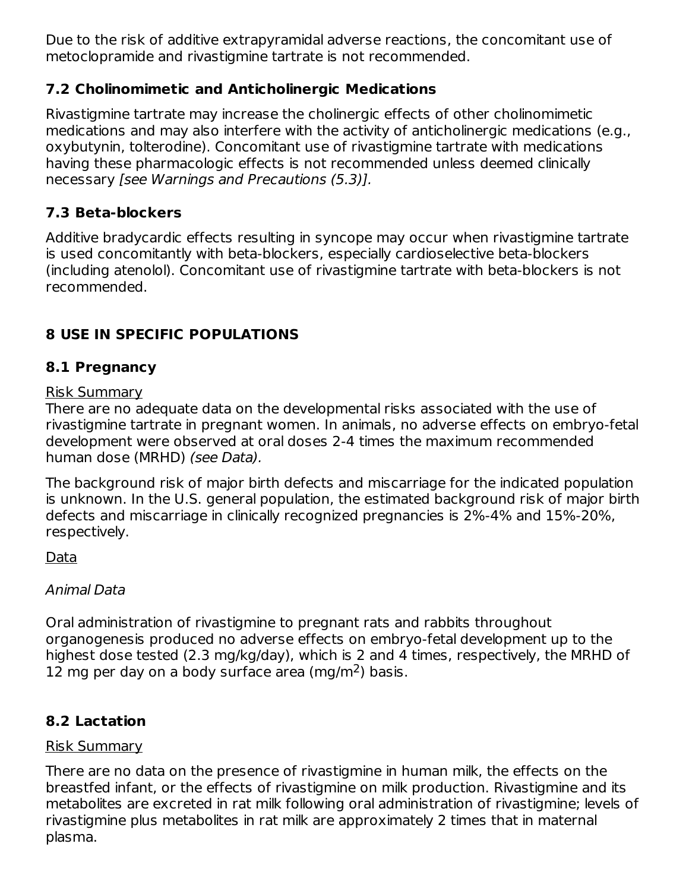Due to the risk of additive extrapyramidal adverse reactions, the concomitant use of metoclopramide and rivastigmine tartrate is not recommended.

## **7.2 Cholinomimetic and Anticholinergic Medications**

Rivastigmine tartrate may increase the cholinergic effects of other cholinomimetic medications and may also interfere with the activity of anticholinergic medications (e.g., oxybutynin, tolterodine). Concomitant use of rivastigmine tartrate with medications having these pharmacologic effects is not recommended unless deemed clinically necessary [see Warnings and Precautions (5.3)].

# **7.3 Beta-blockers**

Additive bradycardic effects resulting in syncope may occur when rivastigmine tartrate is used concomitantly with beta-blockers, especially cardioselective beta-blockers (including atenolol). Concomitant use of rivastigmine tartrate with beta-blockers is not recommended.

# **8 USE IN SPECIFIC POPULATIONS**

## **8.1 Pregnancy**

### Risk Summary

There are no adequate data on the developmental risks associated with the use of rivastigmine tartrate in pregnant women. In animals, no adverse effects on embryo-fetal development were observed at oral doses 2-4 times the maximum recommended human dose (MRHD) (see Data).

The background risk of major birth defects and miscarriage for the indicated population is unknown. In the U.S. general population, the estimated background risk of major birth defects and miscarriage in clinically recognized pregnancies is 2%-4% and 15%-20%, respectively.

Data

## Animal Data

Oral administration of rivastigmine to pregnant rats and rabbits throughout organogenesis produced no adverse effects on embryo-fetal development up to the highest dose tested (2.3 mg/kg/day), which is 2 and 4 times, respectively, the MRHD of 12 mg per day on a body surface area (mg/m<sup>2</sup>) basis.

## **8.2 Lactation**

## Risk Summary

There are no data on the presence of rivastigmine in human milk, the effects on the breastfed infant, or the effects of rivastigmine on milk production. Rivastigmine and its metabolites are excreted in rat milk following oral administration of rivastigmine; levels of rivastigmine plus metabolites in rat milk are approximately 2 times that in maternal plasma.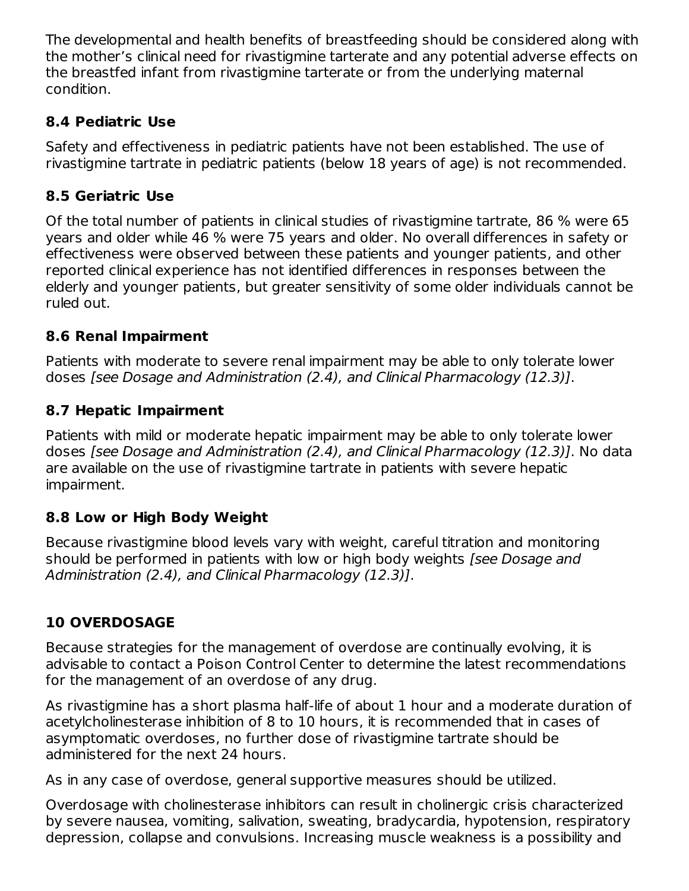The developmental and health benefits of breastfeeding should be considered along with the mother's clinical need for rivastigmine tarterate and any potential adverse effects on the breastfed infant from rivastigmine tarterate or from the underlying maternal condition.

## **8.4 Pediatric Use**

Safety and effectiveness in pediatric patients have not been established. The use of rivastigmine tartrate in pediatric patients (below 18 years of age) is not recommended.

## **8.5 Geriatric Use**

Of the total number of patients in clinical studies of rivastigmine tartrate, 86 % were 65 years and older while 46 % were 75 years and older. No overall differences in safety or effectiveness were observed between these patients and younger patients, and other reported clinical experience has not identified differences in responses between the elderly and younger patients, but greater sensitivity of some older individuals cannot be ruled out.

## **8.6 Renal Impairment**

Patients with moderate to severe renal impairment may be able to only tolerate lower doses [see Dosage and Administration (2.4), and Clinical Pharmacology (12.3)].

## **8.7 Hepatic Impairment**

Patients with mild or moderate hepatic impairment may be able to only tolerate lower doses [see Dosage and Administration (2.4), and Clinical Pharmacology (12.3)]. No data are available on the use of rivastigmine tartrate in patients with severe hepatic impairment.

## **8.8 Low or High Body Weight**

Because rivastigmine blood levels vary with weight, careful titration and monitoring should be performed in patients with low or high body weights *[see Dosage and* Administration (2.4), and Clinical Pharmacology (12.3)].

## **10 OVERDOSAGE**

Because strategies for the management of overdose are continually evolving, it is advisable to contact a Poison Control Center to determine the latest recommendations for the management of an overdose of any drug.

As rivastigmine has a short plasma half-life of about 1 hour and a moderate duration of acetylcholinesterase inhibition of 8 to 10 hours, it is recommended that in cases of asymptomatic overdoses, no further dose of rivastigmine tartrate should be administered for the next 24 hours.

As in any case of overdose, general supportive measures should be utilized.

Overdosage with cholinesterase inhibitors can result in cholinergic crisis characterized by severe nausea, vomiting, salivation, sweating, bradycardia, hypotension, respiratory depression, collapse and convulsions. Increasing muscle weakness is a possibility and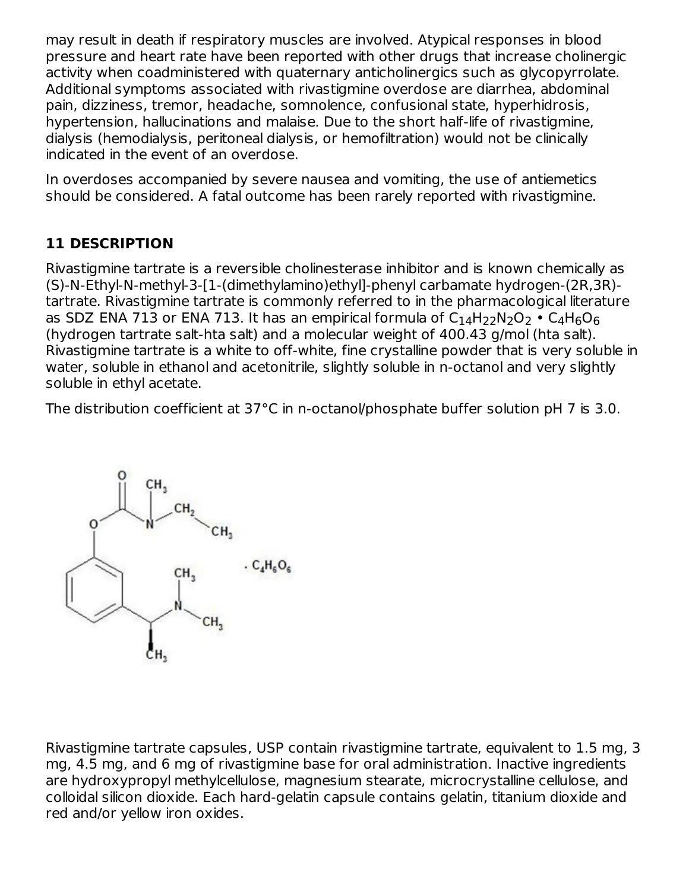may result in death if respiratory muscles are involved. Atypical responses in blood pressure and heart rate have been reported with other drugs that increase cholinergic activity when coadministered with quaternary anticholinergics such as glycopyrrolate. Additional symptoms associated with rivastigmine overdose are diarrhea, abdominal pain, dizziness, tremor, headache, somnolence, confusional state, hyperhidrosis, hypertension, hallucinations and malaise. Due to the short half-life of rivastigmine, dialysis (hemodialysis, peritoneal dialysis, or hemofiltration) would not be clinically indicated in the event of an overdose.

In overdoses accompanied by severe nausea and vomiting, the use of antiemetics should be considered. A fatal outcome has been rarely reported with rivastigmine.

## **11 DESCRIPTION**

Rivastigmine tartrate is a reversible cholinesterase inhibitor and is known chemically as (S)-N-Ethyl-N-methyl-3-[1-(dimethylamino)ethyl]-phenyl carbamate hydrogen-(2R,3R) tartrate. Rivastigmine tartrate is commonly referred to in the pharmacological literature as SDZ ENA 713 or ENA 713. It has an empirical formula of  $\rm{C_{14}H_{22}N_2O_2}$  •  $\rm{C_{4}H_{6}O_{6}}$ (hydrogen tartrate salt-hta salt) and a molecular weight of 400.43 g/mol (hta salt). Rivastigmine tartrate is a white to off-white, fine crystalline powder that is very soluble in water, soluble in ethanol and acetonitrile, slightly soluble in n-octanol and very slightly soluble in ethyl acetate.

The distribution coefficient at 37°C in n-octanol/phosphate buffer solution pH 7 is 3.0.



Rivastigmine tartrate capsules, USP contain rivastigmine tartrate, equivalent to 1.5 mg, 3 mg, 4.5 mg, and 6 mg of rivastigmine base for oral administration. Inactive ingredients are hydroxypropyl methylcellulose, magnesium stearate, microcrystalline cellulose, and colloidal silicon dioxide. Each hard-gelatin capsule contains gelatin, titanium dioxide and red and/or yellow iron oxides.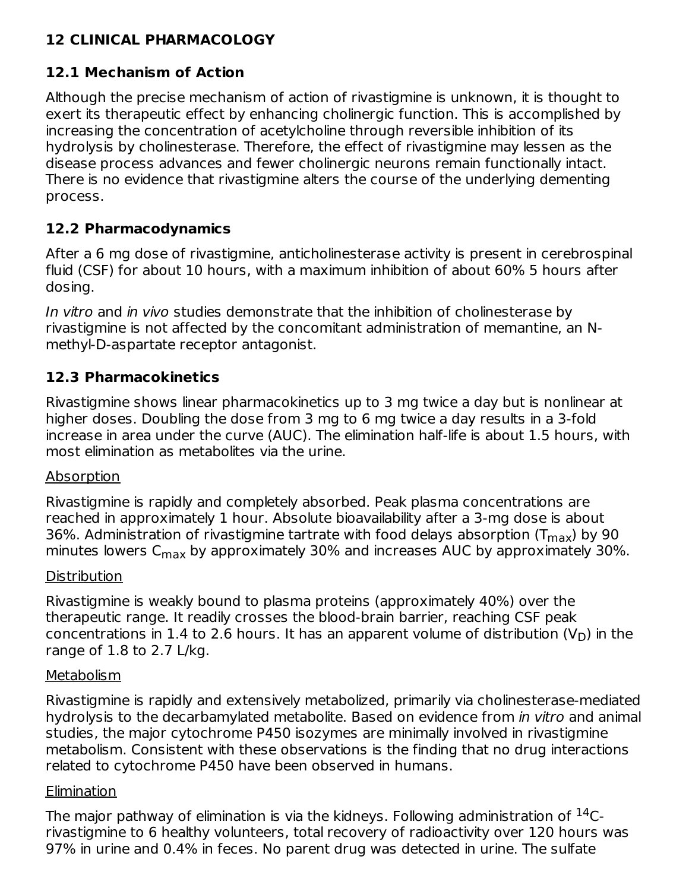## **12 CLINICAL PHARMACOLOGY**

## **12.1 Mechanism of Action**

Although the precise mechanism of action of rivastigmine is unknown, it is thought to exert its therapeutic effect by enhancing cholinergic function. This is accomplished by increasing the concentration of acetylcholine through reversible inhibition of its hydrolysis by cholinesterase. Therefore, the effect of rivastigmine may lessen as the disease process advances and fewer cholinergic neurons remain functionally intact. There is no evidence that rivastigmine alters the course of the underlying dementing process.

## **12.2 Pharmacodynamics**

After a 6 mg dose of rivastigmine, anticholinesterase activity is present in cerebrospinal fluid (CSF) for about 10 hours, with a maximum inhibition of about 60% 5 hours after dosing.

In vitro and in vivo studies demonstrate that the inhibition of cholinesterase by rivastigmine is not affected by the concomitant administration of memantine, an Nmethyl-D-aspartate receptor antagonist.

## **12.3 Pharmacokinetics**

Rivastigmine shows linear pharmacokinetics up to 3 mg twice a day but is nonlinear at higher doses. Doubling the dose from 3 mg to 6 mg twice a day results in a 3-fold increase in area under the curve (AUC). The elimination half-life is about 1.5 hours, with most elimination as metabolites via the urine.

### Absorption

Rivastigmine is rapidly and completely absorbed. Peak plasma concentrations are reached in approximately 1 hour. Absolute bioavailability after a 3-mg dose is about 36%. Administration of rivastigmine tartrate with food delays absorption (T $_{\sf max}$ ) by 90 minutes lowers C<sub>max</sub> by approximately 30% and increases AUC by approximately 30%.

### **Distribution**

Rivastigmine is weakly bound to plasma proteins (approximately 40%) over the therapeutic range. It readily crosses the blood-brain barrier, reaching CSF peak concentrations in 1.4 to 2.6 hours. It has an apparent volume of distribution (V<sub>D</sub>) in the range of 1.8 to 2.7 L/kg.

### **Metabolism**

Rivastigmine is rapidly and extensively metabolized, primarily via cholinesterase-mediated hydrolysis to the decarbamylated metabolite. Based on evidence from in vitro and animal studies, the major cytochrome P450 isozymes are minimally involved in rivastigmine metabolism. Consistent with these observations is the finding that no drug interactions related to cytochrome P450 have been observed in humans.

## Elimination

The major pathway of elimination is via the kidneys. Following administration of  $^{14}\mathrm{C}\text{-}$ rivastigmine to 6 healthy volunteers, total recovery of radioactivity over 120 hours was 97% in urine and 0.4% in feces. No parent drug was detected in urine. The sulfate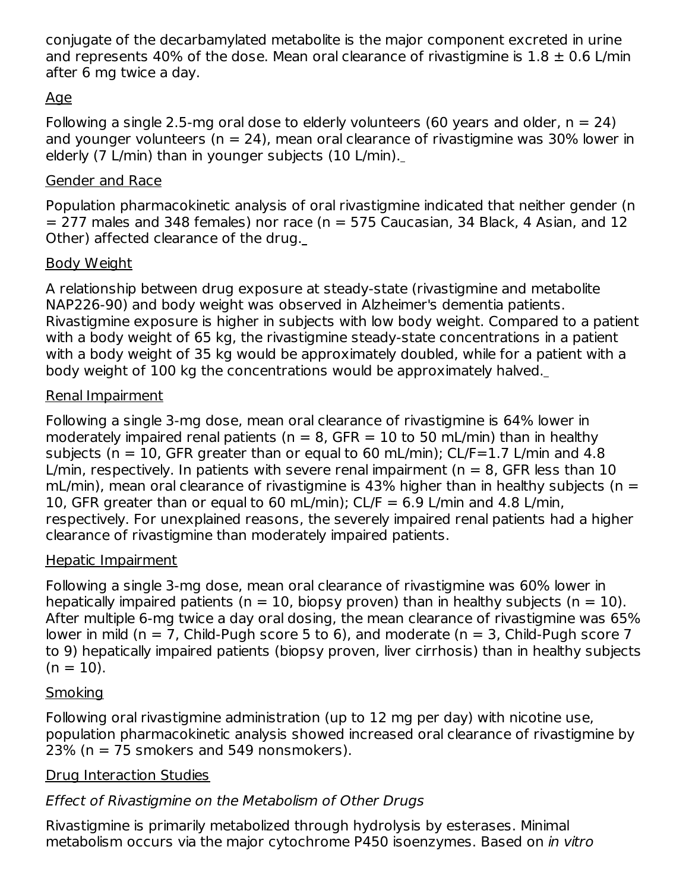conjugate of the decarbamylated metabolite is the major component excreted in urine and represents 40% of the dose. Mean oral clearance of rivastigmine is  $1.8 \pm 0.6$  L/min after 6 mg twice a day.

## Age

Following a single 2.5-mg oral dose to elderly volunteers (60 years and older,  $n = 24$ ) and younger volunteers ( $n = 24$ ), mean oral clearance of rivastigmine was 30% lower in elderly (7 L/min) than in younger subjects (10 L/min).

### Gender and Race

Population pharmacokinetic analysis of oral rivastigmine indicated that neither gender (n  $= 277$  males and 348 females) nor race (n  $= 575$  Caucasian, 34 Black, 4 Asian, and 12 Other) affected clearance of the drug.

## Body Weight

A relationship between drug exposure at steady-state (rivastigmine and metabolite NAP226-90) and body weight was observed in Alzheimer's dementia patients. Rivastigmine exposure is higher in subjects with low body weight. Compared to a patient with a body weight of 65 kg, the rivastigmine steady-state concentrations in a patient with a body weight of 35 kg would be approximately doubled, while for a patient with a body weight of 100 kg the concentrations would be approximately halved.

### Renal Impairment

Following a single 3-mg dose, mean oral clearance of rivastigmine is 64% lower in moderately impaired renal patients ( $n = 8$ , GFR = 10 to 50 mL/min) than in healthy subjects ( $n = 10$ , GFR greater than or equal to 60 mL/min); CL/F=1.7 L/min and 4.8 L/min, respectively. In patients with severe renal impairment ( $n = 8$ , GFR less than 10 mL/min), mean oral clearance of rivastigmine is 43% higher than in healthy subjects ( $n =$ 10, GFR greater than or equal to 60 mL/min);  $CL/F = 6.9$  L/min and 4.8 L/min, respectively. For unexplained reasons, the severely impaired renal patients had a higher clearance of rivastigmine than moderately impaired patients.

### Hepatic Impairment

Following a single 3-mg dose, mean oral clearance of rivastigmine was 60% lower in hepatically impaired patients ( $n = 10$ , biopsy proven) than in healthy subjects ( $n = 10$ ). After multiple 6-mg twice a day oral dosing, the mean clearance of rivastigmine was 65% lower in mild (n = 7, Child-Pugh score 5 to 6), and moderate (n = 3, Child-Pugh score 7 to 9) hepatically impaired patients (biopsy proven, liver cirrhosis) than in healthy subjects  $(n = 10)$ .

## **Smoking**

Following oral rivastigmine administration (up to 12 mg per day) with nicotine use, population pharmacokinetic analysis showed increased oral clearance of rivastigmine by  $23\%$  (n = 75 smokers and 549 nonsmokers).

## Drug Interaction Studies

# Effect of Rivastigmine on the Metabolism of Other Drugs

Rivastigmine is primarily metabolized through hydrolysis by esterases. Minimal metabolism occurs via the major cytochrome P450 isoenzymes. Based on in vitro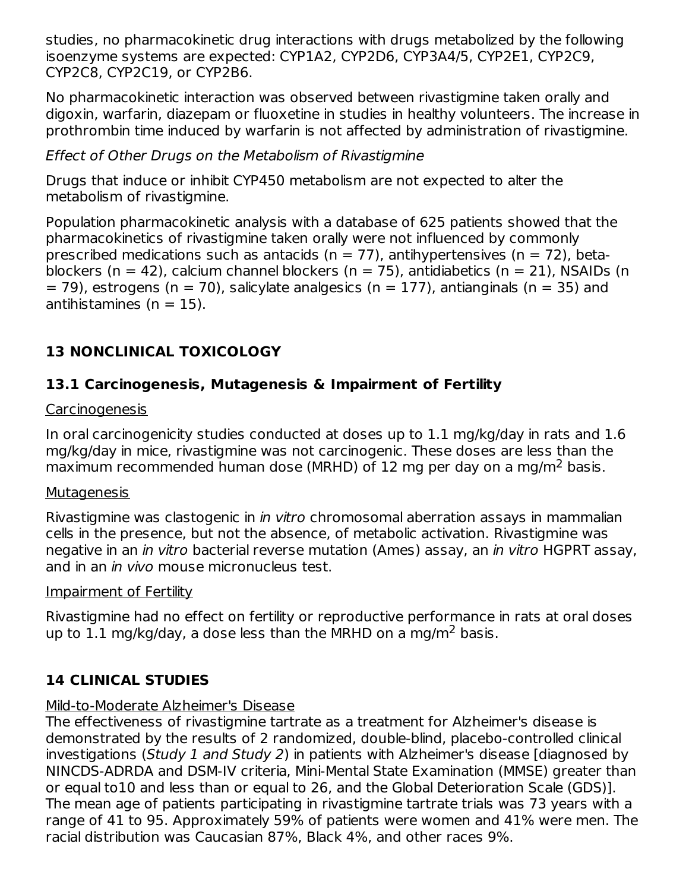studies, no pharmacokinetic drug interactions with drugs metabolized by the following isoenzyme systems are expected: CYP1A2, CYP2D6, CYP3A4/5, CYP2E1, CYP2C9, CYP2C8, CYP2C19, or CYP2B6.

No pharmacokinetic interaction was observed between rivastigmine taken orally and digoxin, warfarin, diazepam or fluoxetine in studies in healthy volunteers. The increase in prothrombin time induced by warfarin is not affected by administration of rivastigmine.

Effect of Other Drugs on the Metabolism of Rivastigmine

Drugs that induce or inhibit CYP450 metabolism are not expected to alter the metabolism of rivastigmine.

Population pharmacokinetic analysis with a database of 625 patients showed that the pharmacokinetics of rivastigmine taken orally were not influenced by commonly prescribed medications such as antacids ( $n = 77$ ), antihypertensives ( $n = 72$ ), betablockers (n = 42), calcium channel blockers (n = 75), antidiabetics (n = 21), NSAIDs (n  $=$  79), estrogens (n  $=$  70), salicylate analgesics (n  $=$  177), antianginals (n  $=$  35) and antihistamines  $(n = 15)$ .

# **13 NONCLINICAL TOXICOLOGY**

## **13.1 Carcinogenesis, Mutagenesis & Impairment of Fertility**

### **Carcinogenesis**

In oral carcinogenicity studies conducted at doses up to 1.1 mg/kg/day in rats and 1.6 mg/kg/day in mice, rivastigmine was not carcinogenic. These doses are less than the maximum recommended human dose (MRHD) of 12 mg per day on a mg/m<sup>2</sup> basis.

### **Mutagenesis**

Rivastigmine was clastogenic in *in vitro* chromosomal aberration assays in mammalian cells in the presence, but not the absence, of metabolic activation. Rivastigmine was negative in an in vitro bacterial reverse mutation (Ames) assay, an in vitro HGPRT assay, and in an *in vivo* mouse micronucleus test.

### Impairment of Fertility

Rivastigmine had no effect on fertility or reproductive performance in rats at oral doses up to 1.1 mg/kg/day, a dose less than the MRHD on a mg/m<sup>2</sup> basis.

## **14 CLINICAL STUDIES**

# Mild-to-Moderate Alzheimer's Disease

The effectiveness of rivastigmine tartrate as a treatment for Alzheimer's disease is demonstrated by the results of 2 randomized, double-blind, placebo-controlled clinical investigations (Study 1 and Study 2) in patients with Alzheimer's disease [diagnosed by NINCDS-ADRDA and DSM-IV criteria, Mini-Mental State Examination (MMSE) greater than or equal to10 and less than or equal to 26, and the Global Deterioration Scale (GDS)]. The mean age of patients participating in rivastigmine tartrate trials was 73 years with a range of 41 to 95. Approximately 59% of patients were women and 41% were men. The racial distribution was Caucasian 87%, Black 4%, and other races 9%.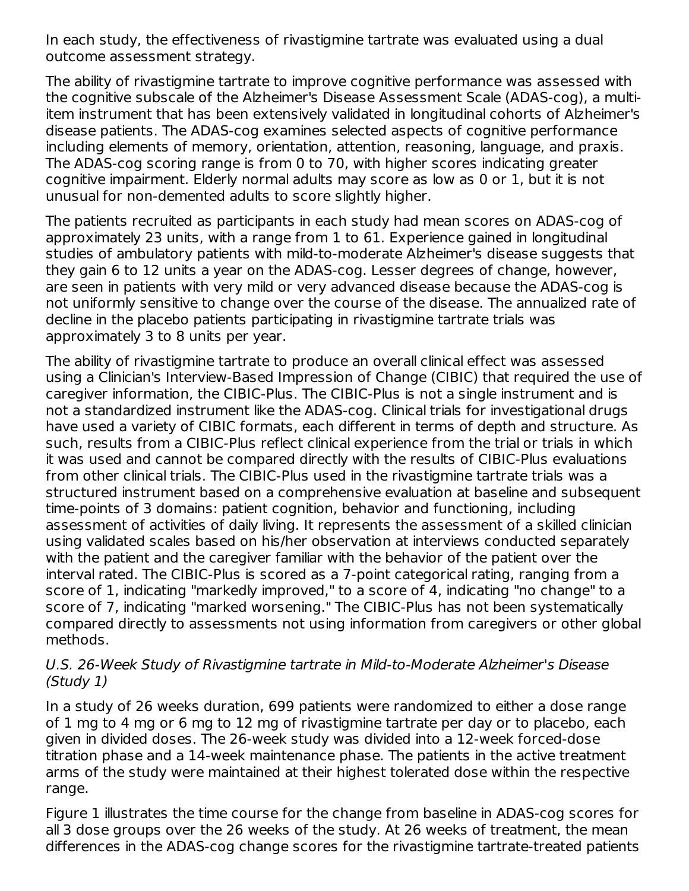In each study, the effectiveness of rivastigmine tartrate was evaluated using a dual outcome assessment strategy.

The ability of rivastigmine tartrate to improve cognitive performance was assessed with the cognitive subscale of the Alzheimer's Disease Assessment Scale (ADAS-cog), a multiitem instrument that has been extensively validated in longitudinal cohorts of Alzheimer's disease patients. The ADAS-cog examines selected aspects of cognitive performance including elements of memory, orientation, attention, reasoning, language, and praxis. The ADAS-cog scoring range is from 0 to 70, with higher scores indicating greater cognitive impairment. Elderly normal adults may score as low as 0 or 1, but it is not unusual for non-demented adults to score slightly higher.

The patients recruited as participants in each study had mean scores on ADAS-cog of approximately 23 units, with a range from 1 to 61. Experience gained in longitudinal studies of ambulatory patients with mild-to-moderate Alzheimer's disease suggests that they gain 6 to 12 units a year on the ADAS-cog. Lesser degrees of change, however, are seen in patients with very mild or very advanced disease because the ADAS-cog is not uniformly sensitive to change over the course of the disease. The annualized rate of decline in the placebo patients participating in rivastigmine tartrate trials was approximately 3 to 8 units per year.

The ability of rivastigmine tartrate to produce an overall clinical effect was assessed using a Clinician's Interview-Based Impression of Change (CIBIC) that required the use of caregiver information, the CIBIC-Plus. The CIBIC-Plus is not a single instrument and is not a standardized instrument like the ADAS-cog. Clinical trials for investigational drugs have used a variety of CIBIC formats, each different in terms of depth and structure. As such, results from a CIBIC-Plus reflect clinical experience from the trial or trials in which it was used and cannot be compared directly with the results of CIBIC-Plus evaluations from other clinical trials. The CIBIC-Plus used in the rivastigmine tartrate trials was a structured instrument based on a comprehensive evaluation at baseline and subsequent time-points of 3 domains: patient cognition, behavior and functioning, including assessment of activities of daily living. It represents the assessment of a skilled clinician using validated scales based on his/her observation at interviews conducted separately with the patient and the caregiver familiar with the behavior of the patient over the interval rated. The CIBIC-Plus is scored as a 7-point categorical rating, ranging from a score of 1, indicating "markedly improved," to a score of 4, indicating "no change" to a score of 7, indicating "marked worsening." The CIBIC-Plus has not been systematically compared directly to assessments not using information from caregivers or other global methods.

#### U.S. 26-Week Study of Rivastigmine tartrate in Mild-to-Moderate Alzheimer's Disease (Study 1)

In a study of 26 weeks duration, 699 patients were randomized to either a dose range of 1 mg to 4 mg or 6 mg to 12 mg of rivastigmine tartrate per day or to placebo, each given in divided doses. The 26-week study was divided into a 12-week forced-dose titration phase and a 14-week maintenance phase. The patients in the active treatment arms of the study were maintained at their highest tolerated dose within the respective range.

Figure 1 illustrates the time course for the change from baseline in ADAS-cog scores for all 3 dose groups over the 26 weeks of the study. At 26 weeks of treatment, the mean differences in the ADAS-cog change scores for the rivastigmine tartrate-treated patients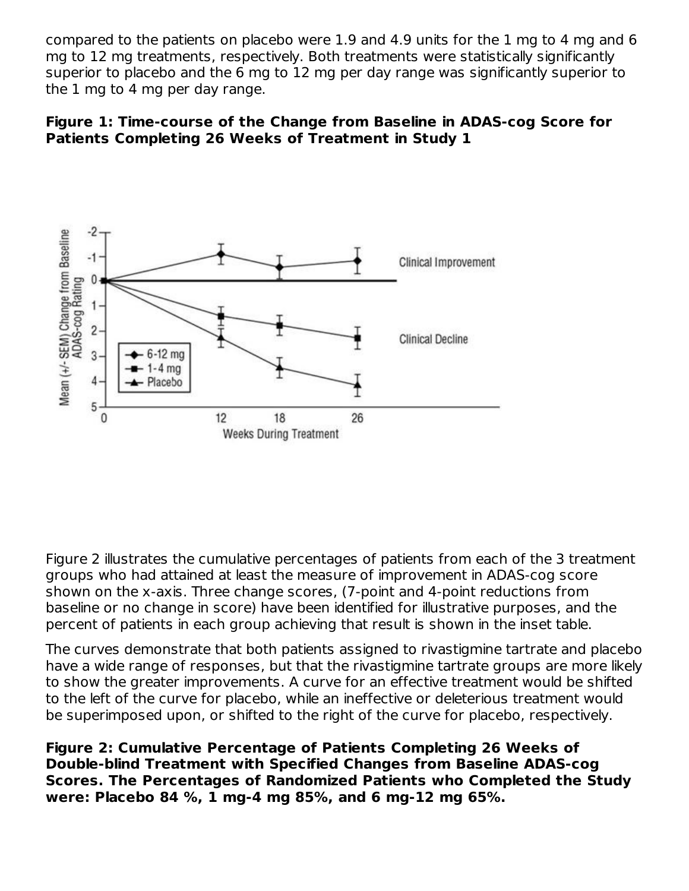compared to the patients on placebo were 1.9 and 4.9 units for the 1 mg to 4 mg and 6 mg to 12 mg treatments, respectively. Both treatments were statistically significantly superior to placebo and the 6 mg to 12 mg per day range was significantly superior to the 1 mg to 4 mg per day range.





Figure 2 illustrates the cumulative percentages of patients from each of the 3 treatment groups who had attained at least the measure of improvement in ADAS-cog score shown on the x-axis. Three change scores, (7-point and 4-point reductions from baseline or no change in score) have been identified for illustrative purposes, and the percent of patients in each group achieving that result is shown in the inset table.

The curves demonstrate that both patients assigned to rivastigmine tartrate and placebo have a wide range of responses, but that the rivastigmine tartrate groups are more likely to show the greater improvements. A curve for an effective treatment would be shifted to the left of the curve for placebo, while an ineffective or deleterious treatment would be superimposed upon, or shifted to the right of the curve for placebo, respectively.

**Figure 2: Cumulative Percentage of Patients Completing 26 Weeks of Double-blind Treatment with Specified Changes from Baseline ADAS-cog Scores. The Percentages of Randomized Patients who Completed the Study were: Placebo 84 %, 1 mg-4 mg 85%, and 6 mg-12 mg 65%.**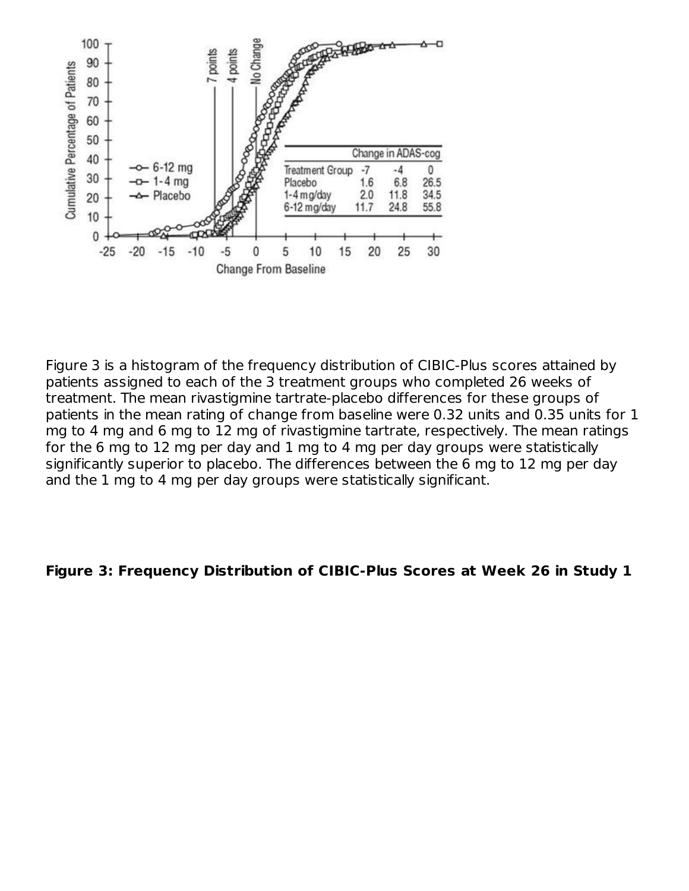

Figure 3 is a histogram of the frequency distribution of CIBIC-Plus scores attained by patients assigned to each of the 3 treatment groups who completed 26 weeks of treatment. The mean rivastigmine tartrate-placebo differences for these groups of patients in the mean rating of change from baseline were 0.32 units and 0.35 units for 1 mg to 4 mg and 6 mg to 12 mg of rivastigmine tartrate, respectively. The mean ratings for the 6 mg to 12 mg per day and 1 mg to 4 mg per day groups were statistically significantly superior to placebo. The differences between the 6 mg to 12 mg per day and the 1 mg to 4 mg per day groups were statistically significant.

#### **Figure 3: Frequency Distribution of CIBIC-Plus Scores at Week 26 in Study 1**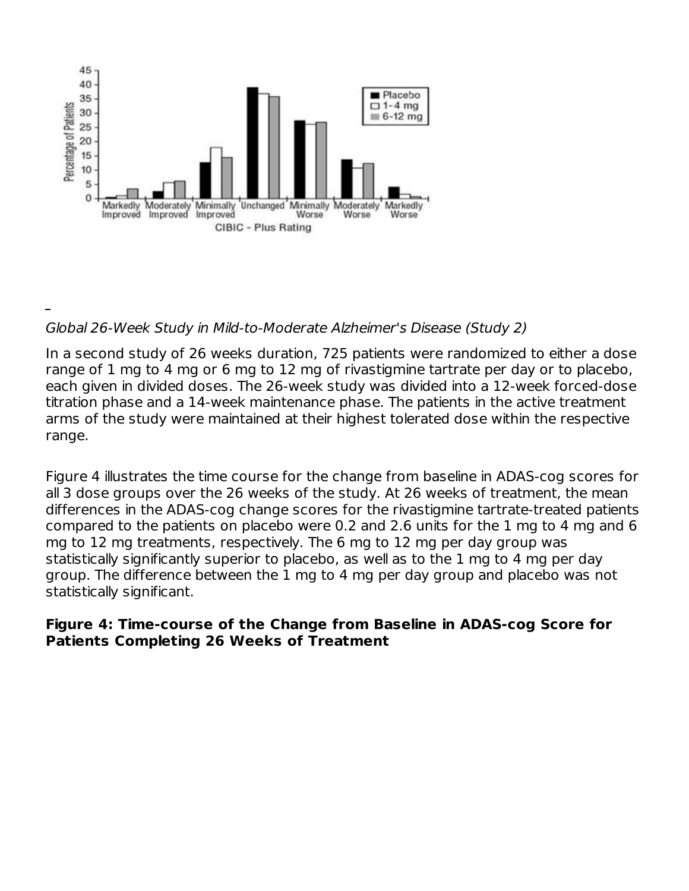

### Global 26-Week Study in Mild-to-Moderate Alzheimer's Disease (Study 2)

In a second study of 26 weeks duration, 725 patients were randomized to either a dose range of 1 mg to 4 mg or 6 mg to 12 mg of rivastigmine tartrate per day or to placebo, each given in divided doses. The 26-week study was divided into a 12-week forced-dose titration phase and a 14-week maintenance phase. The patients in the active treatment arms of the study were maintained at their highest tolerated dose within the respective range.

Figure 4 illustrates the time course for the change from baseline in ADAS-cog scores for all 3 dose groups over the 26 weeks of the study. At 26 weeks of treatment, the mean differences in the ADAS-cog change scores for the rivastigmine tartrate-treated patients compared to the patients on placebo were 0.2 and 2.6 units for the 1 mg to 4 mg and 6 mg to 12 mg treatments, respectively. The 6 mg to 12 mg per day group was statistically significantly superior to placebo, as well as to the 1 mg to 4 mg per day group. The difference between the 1 mg to 4 mg per day group and placebo was not statistically significant.

#### **Figure 4: Time-course of the Change from Baseline in ADAS-cog Score for Patients Completing 26 Weeks of Treatment**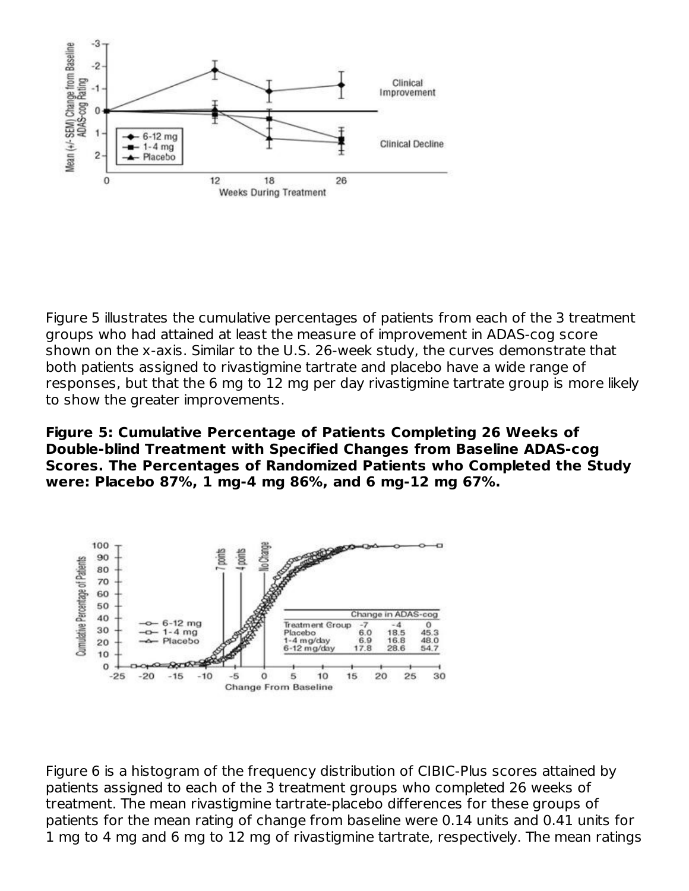

Figure 5 illustrates the cumulative percentages of patients from each of the 3 treatment groups who had attained at least the measure of improvement in ADAS-cog score shown on the x-axis. Similar to the U.S. 26-week study, the curves demonstrate that both patients assigned to rivastigmine tartrate and placebo have a wide range of responses, but that the 6 mg to 12 mg per day rivastigmine tartrate group is more likely to show the greater improvements.

**Figure 5: Cumulative Percentage of Patients Completing 26 Weeks of Double-blind Treatment with Specified Changes from Baseline ADAS-cog Scores. The Percentages of Randomized Patients who Completed the Study were: Placebo 87%, 1 mg-4 mg 86%, and 6 mg-12 mg 67%.**



Figure 6 is a histogram of the frequency distribution of CIBIC-Plus scores attained by patients assigned to each of the 3 treatment groups who completed 26 weeks of treatment. The mean rivastigmine tartrate-placebo differences for these groups of patients for the mean rating of change from baseline were 0.14 units and 0.41 units for 1 mg to 4 mg and 6 mg to 12 mg of rivastigmine tartrate, respectively. The mean ratings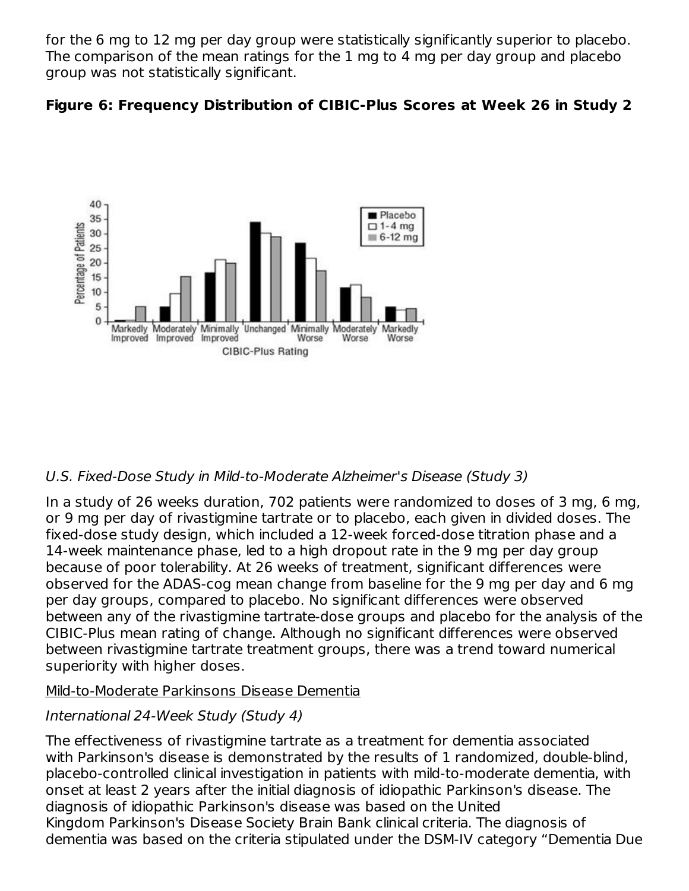for the 6 mg to 12 mg per day group were statistically significantly superior to placebo. The comparison of the mean ratings for the 1 mg to 4 mg per day group and placebo group was not statistically significant.





## U.S. Fixed-Dose Study in Mild-to-Moderate Alzheimer's Disease (Study 3)

In a study of 26 weeks duration, 702 patients were randomized to doses of 3 mg, 6 mg, or 9 mg per day of rivastigmine tartrate or to placebo, each given in divided doses. The fixed-dose study design, which included a 12-week forced-dose titration phase and a 14-week maintenance phase, led to a high dropout rate in the 9 mg per day group because of poor tolerability. At 26 weeks of treatment, significant differences were observed for the ADAS-cog mean change from baseline for the 9 mg per day and 6 mg per day groups, compared to placebo. No significant differences were observed between any of the rivastigmine tartrate-dose groups and placebo for the analysis of the CIBIC-Plus mean rating of change. Although no significant differences were observed between rivastigmine tartrate treatment groups, there was a trend toward numerical superiority with higher doses.

### Mild-to-Moderate Parkinsons Disease Dementia

## International 24-Week Study (Study 4)

The effectiveness of rivastigmine tartrate as a treatment for dementia associated with Parkinson's disease is demonstrated by the results of 1 randomized, double-blind, placebo-controlled clinical investigation in patients with mild-to-moderate dementia, with onset at least 2 years after the initial diagnosis of idiopathic Parkinson's disease. The diagnosis of idiopathic Parkinson's disease was based on the United Kingdom Parkinson's Disease Society Brain Bank clinical criteria. The diagnosis of dementia was based on the criteria stipulated under the DSM-IV category "Dementia Due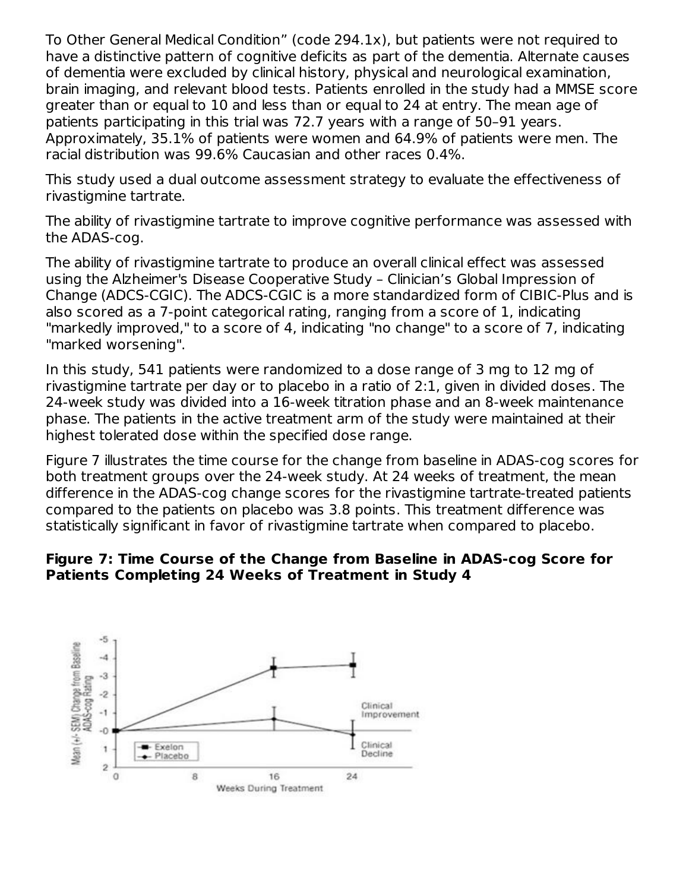To Other General Medical Condition" (code 294.1x), but patients were not required to have a distinctive pattern of cognitive deficits as part of the dementia. Alternate causes of dementia were excluded by clinical history, physical and neurological examination, brain imaging, and relevant blood tests. Patients enrolled in the study had a MMSE score greater than or equal to 10 and less than or equal to 24 at entry. The mean age of patients participating in this trial was 72.7 years with a range of 50–91 years. Approximately, 35.1% of patients were women and 64.9% of patients were men. The racial distribution was 99.6% Caucasian and other races 0.4%.

This study used a dual outcome assessment strategy to evaluate the effectiveness of rivastigmine tartrate.

The ability of rivastigmine tartrate to improve cognitive performance was assessed with the ADAS-cog.

The ability of rivastigmine tartrate to produce an overall clinical effect was assessed using the Alzheimer's Disease Cooperative Study – Clinician's Global Impression of Change (ADCS-CGIC). The ADCS-CGIC is a more standardized form of CIBIC-Plus and is also scored as a 7-point categorical rating, ranging from a score of 1, indicating "markedly improved," to a score of 4, indicating "no change" to a score of 7, indicating "marked worsening".

In this study, 541 patients were randomized to a dose range of 3 mg to 12 mg of rivastigmine tartrate per day or to placebo in a ratio of 2:1, given in divided doses. The 24-week study was divided into a 16-week titration phase and an 8-week maintenance phase. The patients in the active treatment arm of the study were maintained at their highest tolerated dose within the specified dose range.

Figure 7 illustrates the time course for the change from baseline in ADAS-cog scores for both treatment groups over the 24-week study. At 24 weeks of treatment, the mean difference in the ADAS-cog change scores for the rivastigmine tartrate-treated patients compared to the patients on placebo was 3.8 points. This treatment difference was statistically significant in favor of rivastigmine tartrate when compared to placebo.

### **Figure 7: Time Course of the Change from Baseline in ADAS-cog Score for Patients Completing 24 Weeks of Treatment in Study 4**

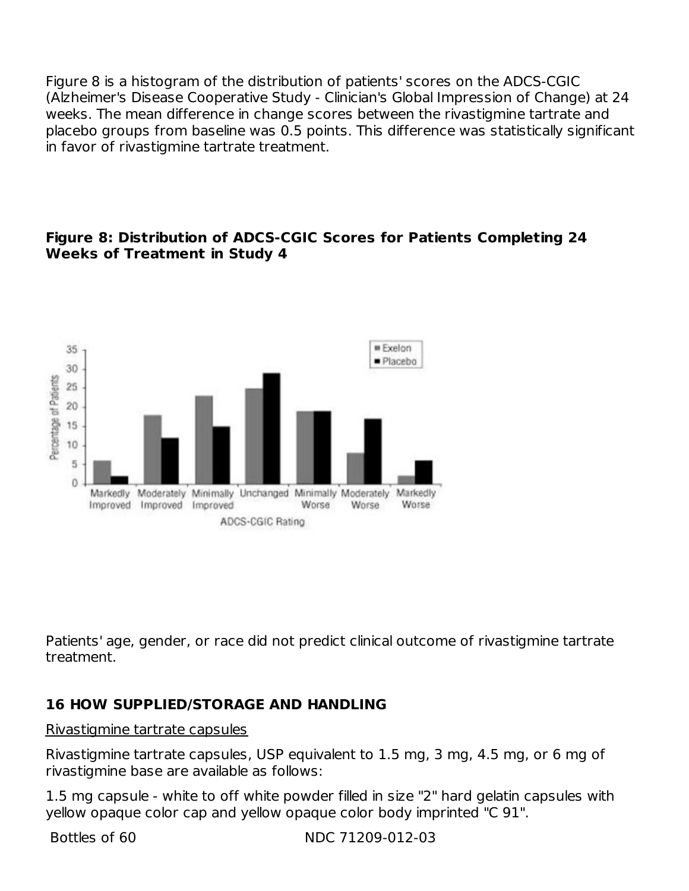Figure 8 is a histogram of the distribution of patients' scores on the ADCS-CGIC (Alzheimer's Disease Cooperative Study - Clinician's Global Impression of Change) at 24 weeks. The mean difference in change scores between the rivastigmine tartrate and placebo groups from baseline was 0.5 points. This difference was statistically significant in favor of rivastigmine tartrate treatment.

### **Figure 8: Distribution of ADCS-CGIC Scores for Patients Completing 24 Weeks of Treatment in Study 4**



Patients' age, gender, or race did not predict clinical outcome of rivastigmine tartrate treatment.

## **16 HOW SUPPLIED/STORAGE AND HANDLING**

#### Rivastigmine tartrate capsules

Rivastigmine tartrate capsules, USP equivalent to 1.5 mg, 3 mg, 4.5 mg, or 6 mg of rivastigmine base are available as follows:

1.5 mg capsule - white to off white powder filled in size "2" hard gelatin capsules with yellow opaque color cap and yellow opaque color body imprinted "C 91".

Bottles of 60 NDC 71209-012-03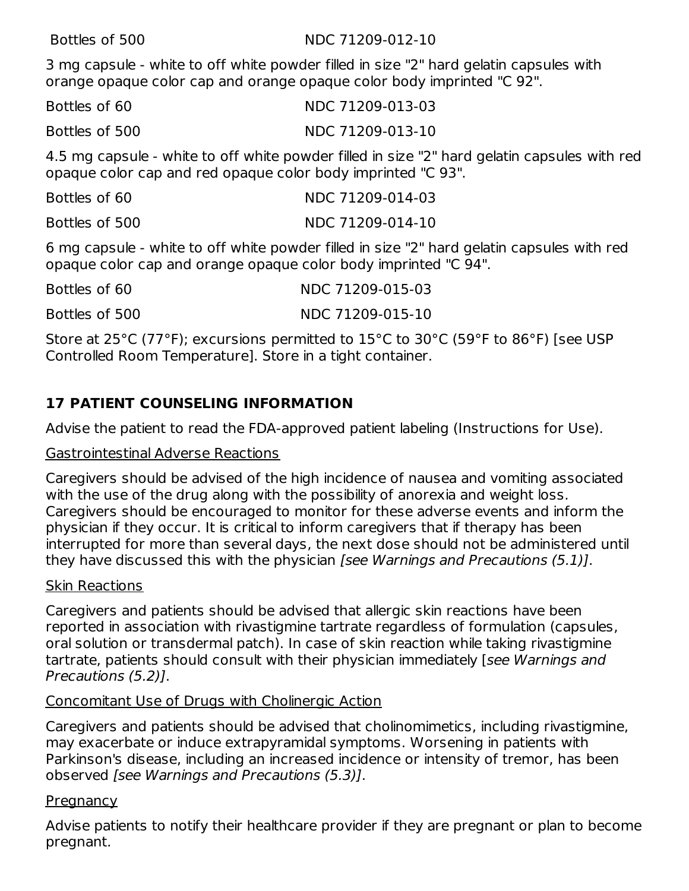#### Bottles of 500 NDC 71209-012-10

3 mg capsule - white to off white powder filled in size "2" hard gelatin capsules with orange opaque color cap and orange opaque color body imprinted "C 92".

| Bottles of 60 | NDC 71209-013-03 |
|---------------|------------------|
|               |                  |

Bottles of 500 NDC 71209-013-10

4.5 mg capsule - white to off white powder filled in size "2" hard gelatin capsules with red opaque color cap and red opaque color body imprinted "C 93".

| Bottles of 60                                                  | NDC 71209-014-03 |
|----------------------------------------------------------------|------------------|
| Bottles of 500                                                 | NDC 71209-014-10 |
| 6 mg cansule - white to off white nowder filled in size "2" ha |                  |

6 mg capsule - white to off white powder filled in size "2" hard gelatin capsules with red opaque color cap and orange opaque color body imprinted "C 94".

| Bottles of 60  | NDC 71209-015-03                                                           |
|----------------|----------------------------------------------------------------------------|
| Bottles of 500 | NDC 71209-015-10                                                           |
|                | $C_{\rm L}$ . In Apackland and the second stream of the stream $C_{\rm L}$ |

Store at 25°C (77°F); excursions permitted to 15°C to 30°C (59°F to 86°F) [see USP Controlled Room Temperature]. Store in a tight container.

## **17 PATIENT COUNSELING INFORMATION**

Advise the patient to read the FDA-approved patient labeling (Instructions for Use).

#### Gastrointestinal Adverse Reactions

Caregivers should be advised of the high incidence of nausea and vomiting associated with the use of the drug along with the possibility of anorexia and weight loss. Caregivers should be encouraged to monitor for these adverse events and inform the physician if they occur. It is critical to inform caregivers that if therapy has been interrupted for more than several days, the next dose should not be administered until they have discussed this with the physician *[see Warnings and Precautions (5.1)*].

### Skin Reactions

Caregivers and patients should be advised that allergic skin reactions have been reported in association with rivastigmine tartrate regardless of formulation (capsules, oral solution or transdermal patch). In case of skin reaction while taking rivastigmine tartrate, patients should consult with their physician immediately [see Warnings and Precautions (5.2)].

### Concomitant Use of Drugs with Cholinergic Action

Caregivers and patients should be advised that cholinomimetics, including rivastigmine, may exacerbate or induce extrapyramidal symptoms. Worsening in patients with Parkinson's disease, including an increased incidence or intensity of tremor, has been observed [see Warnings and Precautions (5.3)].

#### <u>Pregnancy</u>

Advise patients to notify their healthcare provider if they are pregnant or plan to become pregnant.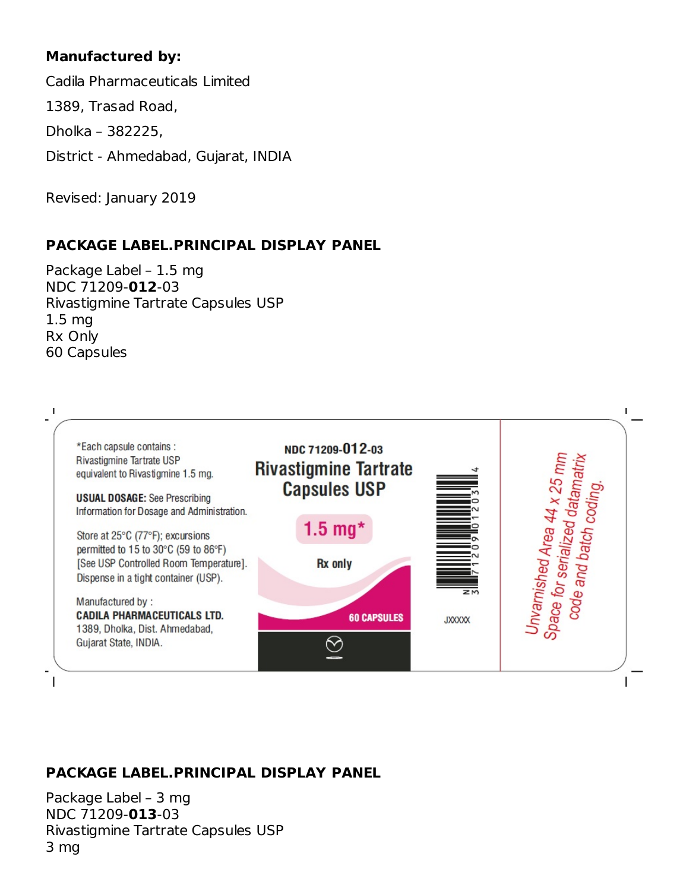## **Manufactured by:**

Cadila Pharmaceuticals Limited

1389, Trasad Road,

Dholka – 382225,

District - Ahmedabad, Gujarat, INDIA

Revised: January 2019

## **PACKAGE LABEL.PRINCIPAL DISPLAY PANEL**

Package Label – 1.5 mg NDC 71209-**012**-03 Rivastigmine Tartrate Capsules USP 1.5 mg Rx Only 60 Capsules



## **PACKAGE LABEL.PRINCIPAL DISPLAY PANEL**

Package Label – 3 mg NDC 71209-**013**-03 Rivastigmine Tartrate Capsules USP 3 mg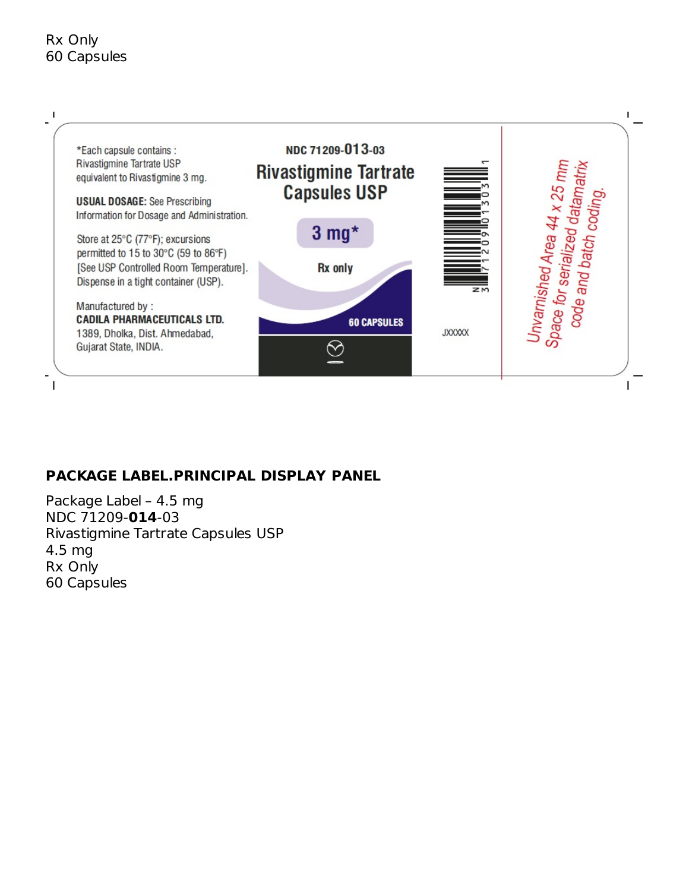### Rx Only 60 Capsules



## **PACKAGE LABEL.PRINCIPAL DISPLAY PANEL**

Package Label – 4.5 mg NDC 71209-**014**-03 Rivastigmine Tartrate Capsules USP 4.5 mg Rx Only 60 Capsules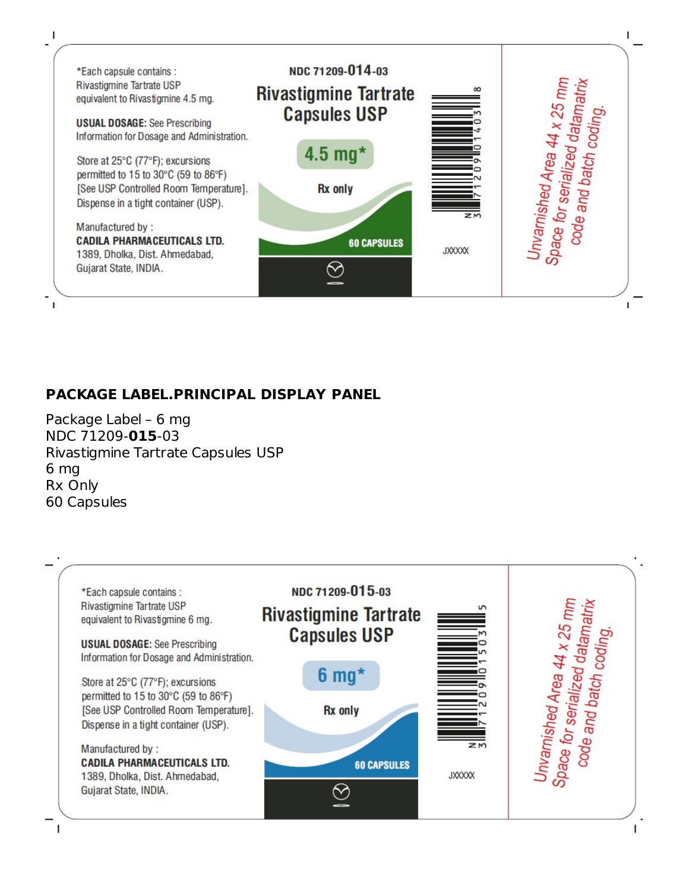

### **PACKAGE LABEL.PRINCIPAL DISPLAY PANEL**

Package Label – 6 mg NDC 71209-**015**-03 Rivastigmine Tartrate Capsules USP 6 mg Rx Only 60 Capsules

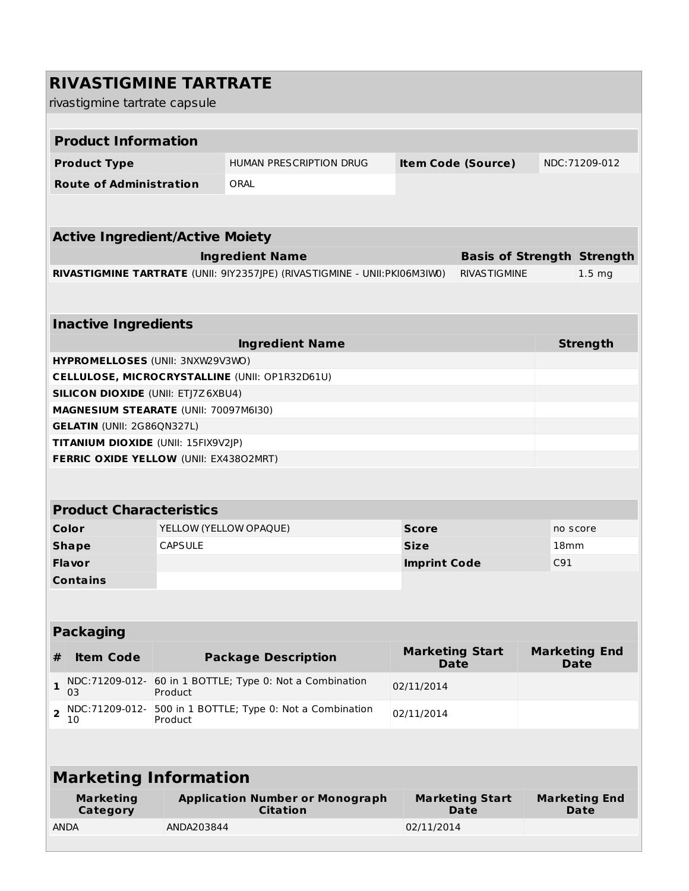|                         | <b>RIVASTIGMINE TARTRATE</b>              |                |                                                                            |                                       |                                   |      |                                     |  |
|-------------------------|-------------------------------------------|----------------|----------------------------------------------------------------------------|---------------------------------------|-----------------------------------|------|-------------------------------------|--|
|                         | rivastigmine tartrate capsule             |                |                                                                            |                                       |                                   |      |                                     |  |
|                         |                                           |                |                                                                            |                                       |                                   |      |                                     |  |
|                         | <b>Product Information</b>                |                |                                                                            |                                       |                                   |      |                                     |  |
|                         | <b>Product Type</b>                       |                | HUMAN PRESCRIPTION DRUG                                                    |                                       | <b>Item Code (Source)</b>         |      | NDC:71209-012                       |  |
|                         | <b>Route of Administration</b>            |                | ORAL                                                                       |                                       |                                   |      |                                     |  |
|                         |                                           |                |                                                                            |                                       |                                   |      |                                     |  |
|                         |                                           |                |                                                                            |                                       |                                   |      |                                     |  |
|                         | <b>Active Ingredient/Active Moiety</b>    |                |                                                                            |                                       |                                   |      |                                     |  |
|                         |                                           |                | <b>Ingredient Name</b>                                                     |                                       | <b>Basis of Strength Strength</b> |      |                                     |  |
|                         |                                           |                | RIVASTIGMINE TARTRATE (UNII: 9IY2357JPE) (RIVASTIGMINE - UNII: PKI06M3IW0) |                                       | <b>RIVASTIGMINE</b>               |      | 1.5 <sub>mg</sub>                   |  |
|                         |                                           |                |                                                                            |                                       |                                   |      |                                     |  |
|                         |                                           |                |                                                                            |                                       |                                   |      |                                     |  |
|                         | <b>Inactive Ingredients</b>               |                |                                                                            |                                       |                                   |      |                                     |  |
|                         | HYPROMELLOSES (UNII: 3NXW29V3WO)          |                | <b>Ingredient Name</b>                                                     |                                       |                                   |      | <b>Strength</b>                     |  |
|                         |                                           |                | CELLULOSE, MICROCRYSTALLINE (UNII: OP1R32D61U)                             |                                       |                                   |      |                                     |  |
|                         | <b>SILICON DIOXIDE (UNII: ETJ7Z6XBU4)</b> |                |                                                                            |                                       |                                   |      |                                     |  |
|                         | MAGNESIUM STEARATE (UNII: 70097M6I30)     |                |                                                                            |                                       |                                   |      |                                     |  |
|                         | <b>GELATIN (UNII: 2G86QN327L)</b>         |                |                                                                            |                                       |                                   |      |                                     |  |
|                         | TITANIUM DIOXIDE (UNII: 15FIX9V2JP)       |                |                                                                            |                                       |                                   |      |                                     |  |
|                         | FERRIC OXIDE YELLOW (UNII: EX43802MRT)    |                |                                                                            |                                       |                                   |      |                                     |  |
|                         |                                           |                |                                                                            |                                       |                                   |      |                                     |  |
|                         | <b>Product Characteristics</b>            |                |                                                                            |                                       |                                   |      |                                     |  |
|                         | Color                                     |                | YELLOW (YELLOW OPAQUE)                                                     | <b>Score</b>                          |                                   |      | no score                            |  |
|                         | <b>Shape</b>                              | <b>CAPSULE</b> |                                                                            | <b>Size</b>                           |                                   | 18mm |                                     |  |
|                         | <b>Flavor</b>                             |                |                                                                            | <b>Imprint Code</b>                   |                                   | C91  |                                     |  |
|                         | <b>Contains</b>                           |                |                                                                            |                                       |                                   |      |                                     |  |
|                         |                                           |                |                                                                            |                                       |                                   |      |                                     |  |
|                         | <b>Packaging</b>                          |                |                                                                            |                                       |                                   |      |                                     |  |
| #                       | <b>Item Code</b>                          |                | <b>Package Description</b>                                                 | <b>Marketing Start</b><br><b>Date</b> |                                   |      | <b>Marketing End</b><br><b>Date</b> |  |
| 1                       | NDC:71209-012-<br>03                      | Product        | 60 in 1 BOTTLE; Type 0: Not a Combination                                  | 02/11/2014                            |                                   |      |                                     |  |
| $\overline{\mathbf{2}}$ | NDC:71209-012-                            | Product        | 500 in 1 BOTTLE; Type 0: Not a Combination                                 | 02/11/2014                            |                                   |      |                                     |  |
|                         | 10                                        |                |                                                                            |                                       |                                   |      |                                     |  |
|                         |                                           |                |                                                                            |                                       |                                   |      |                                     |  |
|                         | <b>Marketing Information</b>              |                |                                                                            |                                       |                                   |      |                                     |  |
|                         | <b>Marketing</b><br>Category              |                | <b>Application Number or Monograph</b><br><b>Citation</b>                  |                                       | <b>Marketing Start</b><br>Date    |      | <b>Marketing End</b><br>Date        |  |
|                         | <b>ANDA</b>                               | ANDA203844     |                                                                            | 02/11/2014                            |                                   |      |                                     |  |
|                         |                                           |                |                                                                            |                                       |                                   |      |                                     |  |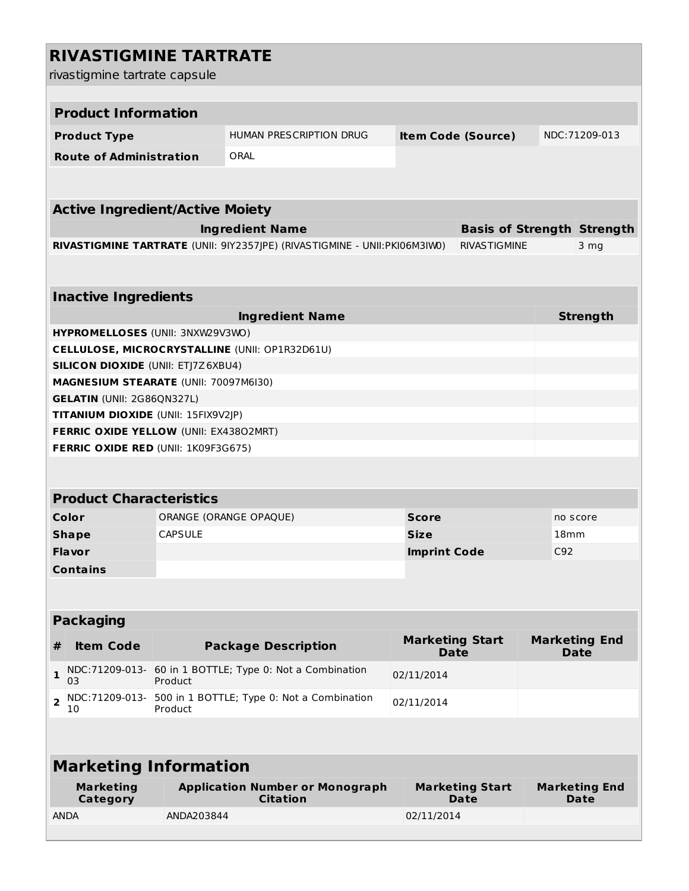|                         | <b>RIVASTIGMINE TARTRATE</b>               |                |                                                                            |                                       |                                   |                  |                                     |  |  |  |
|-------------------------|--------------------------------------------|----------------|----------------------------------------------------------------------------|---------------------------------------|-----------------------------------|------------------|-------------------------------------|--|--|--|
|                         | rivastigmine tartrate capsule              |                |                                                                            |                                       |                                   |                  |                                     |  |  |  |
|                         |                                            |                |                                                                            |                                       |                                   |                  |                                     |  |  |  |
|                         | <b>Product Information</b>                 |                |                                                                            |                                       |                                   |                  |                                     |  |  |  |
|                         | <b>Product Type</b>                        |                | HUMAN PRESCRIPTION DRUG                                                    |                                       | <b>Item Code (Source)</b>         |                  | NDC:71209-013                       |  |  |  |
|                         | <b>Route of Administration</b>             |                | ORAL                                                                       |                                       |                                   |                  |                                     |  |  |  |
|                         |                                            |                |                                                                            |                                       |                                   |                  |                                     |  |  |  |
|                         |                                            |                |                                                                            |                                       |                                   |                  |                                     |  |  |  |
|                         | <b>Active Ingredient/Active Moiety</b>     |                |                                                                            |                                       |                                   |                  |                                     |  |  |  |
|                         |                                            |                | <b>Ingredient Name</b>                                                     |                                       | <b>Basis of Strength Strength</b> |                  |                                     |  |  |  |
|                         |                                            |                | RIVASTIGMINE TARTRATE (UNII: 9IY2357JPE) (RIVASTIGMINE - UNII: PKI06M3IW0) |                                       | <b>RIVASTIGMINE</b>               |                  | 3 mg                                |  |  |  |
|                         |                                            |                |                                                                            |                                       |                                   |                  |                                     |  |  |  |
|                         | <b>Inactive Ingredients</b>                |                |                                                                            |                                       |                                   |                  |                                     |  |  |  |
|                         |                                            |                |                                                                            |                                       |                                   |                  |                                     |  |  |  |
|                         | HYPROMELLOSES (UNII: 3NXW29V3WO)           |                | <b>Ingredient Name</b>                                                     |                                       |                                   |                  | <b>Strength</b>                     |  |  |  |
|                         |                                            |                | CELLULOSE, MICROCRYSTALLINE (UNII: OP1R32D61U)                             |                                       |                                   |                  |                                     |  |  |  |
|                         | <b>SILICON DIOXIDE (UNII: ETJ7Z6XBU4)</b>  |                |                                                                            |                                       |                                   |                  |                                     |  |  |  |
|                         | MAGNESIUM STEARATE (UNII: 70097M6I30)      |                |                                                                            |                                       |                                   |                  |                                     |  |  |  |
|                         | <b>GELATIN (UNII: 2G86QN327L)</b>          |                |                                                                            |                                       |                                   |                  |                                     |  |  |  |
|                         | TITANIUM DIOXIDE (UNII: 15FIX9V2JP)        |                |                                                                            |                                       |                                   |                  |                                     |  |  |  |
|                         | FERRIC OXIDE YELLOW (UNII: EX43802MRT)     |                |                                                                            |                                       |                                   |                  |                                     |  |  |  |
|                         | <b>FERRIC OXIDE RED (UNII: 1K09F3G675)</b> |                |                                                                            |                                       |                                   |                  |                                     |  |  |  |
|                         |                                            |                |                                                                            |                                       |                                   |                  |                                     |  |  |  |
|                         |                                            |                |                                                                            |                                       |                                   |                  |                                     |  |  |  |
|                         | <b>Product Characteristics</b>             |                |                                                                            |                                       |                                   |                  |                                     |  |  |  |
|                         | Color                                      |                | ORANGE (ORANGE OPAQUE)                                                     | <b>Score</b>                          |                                   |                  | no score                            |  |  |  |
|                         | <b>Shape</b>                               | <b>CAPSULE</b> |                                                                            | Size                                  |                                   | 18 <sub>mm</sub> |                                     |  |  |  |
|                         | <b>Flavor</b>                              |                |                                                                            | <b>Imprint Code</b>                   |                                   | C92              |                                     |  |  |  |
|                         | <b>Contains</b>                            |                |                                                                            |                                       |                                   |                  |                                     |  |  |  |
|                         |                                            |                |                                                                            |                                       |                                   |                  |                                     |  |  |  |
|                         |                                            |                |                                                                            |                                       |                                   |                  |                                     |  |  |  |
|                         | <b>Packaging</b>                           |                |                                                                            |                                       |                                   |                  |                                     |  |  |  |
| #                       | <b>Item Code</b>                           |                | <b>Package Description</b>                                                 | <b>Marketing Start</b><br><b>Date</b> |                                   |                  | <b>Marketing End</b><br><b>Date</b> |  |  |  |
| $\mathbf{1}$            | 03                                         | Product        | NDC:71209-013- 60 in 1 BOTTLE; Type 0: Not a Combination                   | 02/11/2014                            |                                   |                  |                                     |  |  |  |
| $\overline{\mathbf{c}}$ | NDC:71209-013-<br>10                       | Product        | 500 in 1 BOTTLE; Type 0: Not a Combination                                 | 02/11/2014                            |                                   |                  |                                     |  |  |  |
|                         |                                            |                |                                                                            |                                       |                                   |                  |                                     |  |  |  |
|                         | <b>Marketing Information</b>               |                |                                                                            |                                       |                                   |                  |                                     |  |  |  |
|                         | <b>Marketing</b><br><b>Category</b>        |                | <b>Application Number or Monograph</b><br><b>Citation</b>                  |                                       | <b>Marketing Start</b><br>Date    |                  | <b>Marketing End</b><br>Date        |  |  |  |
|                         | <b>ANDA</b>                                | ANDA203844     |                                                                            | 02/11/2014                            |                                   |                  |                                     |  |  |  |
|                         |                                            |                |                                                                            |                                       |                                   |                  |                                     |  |  |  |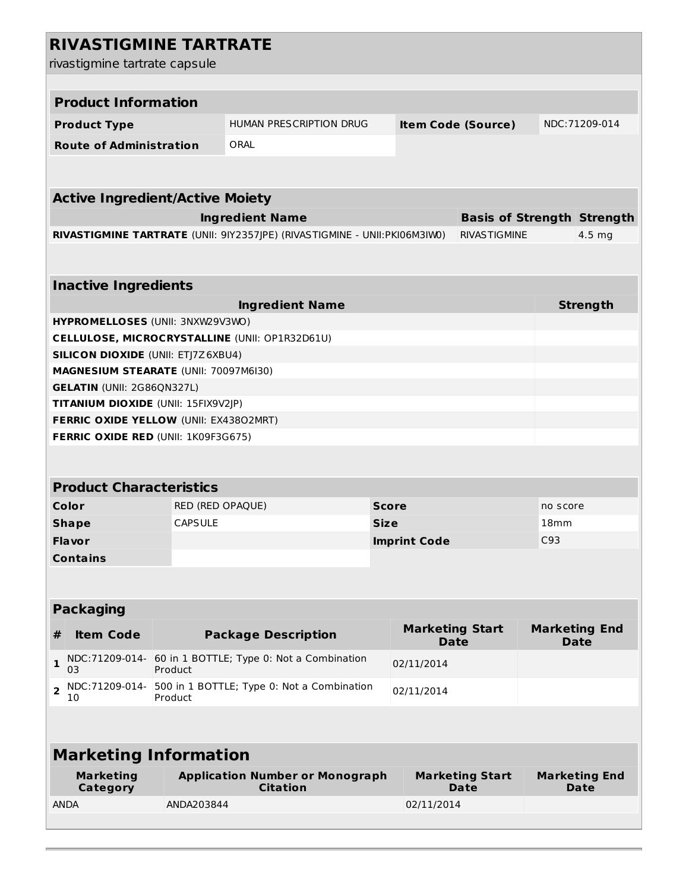| <b>RIVASTIGMINE TARTRATE</b>                                |                                                                     |                                                                            |                     |                                       |                                       |     |                                     |  |
|-------------------------------------------------------------|---------------------------------------------------------------------|----------------------------------------------------------------------------|---------------------|---------------------------------------|---------------------------------------|-----|-------------------------------------|--|
| rivastigmine tartrate capsule                               |                                                                     |                                                                            |                     |                                       |                                       |     |                                     |  |
|                                                             |                                                                     |                                                                            |                     |                                       |                                       |     |                                     |  |
| <b>Product Information</b>                                  |                                                                     |                                                                            |                     |                                       |                                       |     |                                     |  |
| <b>Product Type</b>                                         | HUMAN PRESCRIPTION DRUG<br><b>Item Code (Source)</b>                |                                                                            |                     |                                       | NDC: 71209-014                        |     |                                     |  |
| <b>Route of Administration</b>                              | ORAL                                                                |                                                                            |                     |                                       |                                       |     |                                     |  |
|                                                             |                                                                     |                                                                            |                     |                                       |                                       |     |                                     |  |
|                                                             |                                                                     |                                                                            |                     |                                       |                                       |     |                                     |  |
| <b>Active Ingredient/Active Moiety</b>                      |                                                                     |                                                                            |                     |                                       |                                       |     |                                     |  |
| <b>Ingredient Name</b><br><b>Basis of Strength Strength</b> |                                                                     |                                                                            |                     |                                       |                                       |     |                                     |  |
|                                                             |                                                                     | RIVASTIGMINE TARTRATE (UNII: 9IY2357JPE) (RIVASTIGMINE - UNII: PKI06M3IW0) |                     |                                       | <b>RIVASTIGMINE</b>                   |     | 4.5 mg                              |  |
|                                                             |                                                                     |                                                                            |                     |                                       |                                       |     |                                     |  |
| <b>Inactive Ingredients</b>                                 |                                                                     |                                                                            |                     |                                       |                                       |     |                                     |  |
|                                                             |                                                                     | <b>Ingredient Name</b>                                                     |                     |                                       |                                       |     | <b>Strength</b>                     |  |
|                                                             | HYPROMELLOSES (UNII: 3NXW29V3WO)                                    |                                                                            |                     |                                       |                                       |     |                                     |  |
|                                                             | CELLULOSE, MICROCRYSTALLINE (UNII: OP1R32D61U)                      |                                                                            |                     |                                       |                                       |     |                                     |  |
| <b>SILICON DIOXIDE (UNII: ETJ7Z6XBU4)</b>                   |                                                                     |                                                                            |                     |                                       |                                       |     |                                     |  |
| <b>GELATIN (UNII: 2G86QN327L)</b>                           | MAGNESIUM STEARATE (UNII: 70097M6I30)                               |                                                                            |                     |                                       |                                       |     |                                     |  |
| TITANIUM DIOXIDE (UNII: 15FIX9V2JP)                         |                                                                     |                                                                            |                     |                                       |                                       |     |                                     |  |
| FERRIC OXIDE YELLOW (UNII: EX43802MRT)                      |                                                                     |                                                                            |                     |                                       |                                       |     |                                     |  |
| <b>FERRIC OXIDE RED (UNII: 1K09F3G675)</b>                  |                                                                     |                                                                            |                     |                                       |                                       |     |                                     |  |
|                                                             |                                                                     |                                                                            |                     |                                       |                                       |     |                                     |  |
| <b>Product Characteristics</b>                              |                                                                     |                                                                            |                     |                                       |                                       |     |                                     |  |
| Color                                                       | RED (RED OPAQUE)<br><b>Score</b><br>no score                        |                                                                            |                     |                                       |                                       |     |                                     |  |
| <b>Shape</b>                                                | <b>CAPSULE</b><br>Size                                              |                                                                            | 18 <sub>mm</sub>    |                                       |                                       |     |                                     |  |
| <b>Flavor</b>                                               |                                                                     |                                                                            | <b>Imprint Code</b> |                                       |                                       | C93 |                                     |  |
| <b>Contains</b>                                             |                                                                     |                                                                            |                     |                                       |                                       |     |                                     |  |
|                                                             |                                                                     |                                                                            |                     |                                       |                                       |     |                                     |  |
|                                                             |                                                                     |                                                                            |                     |                                       |                                       |     |                                     |  |
| <b>Packaging</b>                                            |                                                                     |                                                                            |                     |                                       |                                       |     |                                     |  |
| <b>Item Code</b><br>#                                       |                                                                     | <b>Package Description</b>                                                 |                     | <b>Marketing Start</b><br><b>Date</b> |                                       |     | <b>Marketing End</b><br><b>Date</b> |  |
| 1<br>03                                                     | NDC:71209-014- 60 in 1 BOTTLE; Type 0: Not a Combination<br>Product |                                                                            |                     | 02/11/2014                            |                                       |     |                                     |  |
| NDC:71209-014-<br>$\overline{\mathbf{2}}$<br>10             | 500 in 1 BOTTLE; Type 0: Not a Combination<br>Product               |                                                                            |                     | 02/11/2014                            |                                       |     |                                     |  |
|                                                             |                                                                     |                                                                            |                     |                                       |                                       |     |                                     |  |
|                                                             |                                                                     |                                                                            |                     |                                       |                                       |     |                                     |  |
| <b>Marketing Information</b>                                |                                                                     |                                                                            |                     |                                       |                                       |     |                                     |  |
| <b>Marketing</b><br>Category                                | <b>Application Number or Monograph</b><br><b>Citation</b>           |                                                                            |                     |                                       | <b>Marketing Start</b><br><b>Date</b> |     | <b>Marketing End</b><br>Date        |  |
| <b>ANDA</b>                                                 | ANDA203844                                                          |                                                                            |                     | 02/11/2014                            |                                       |     |                                     |  |
|                                                             |                                                                     |                                                                            |                     |                                       |                                       |     |                                     |  |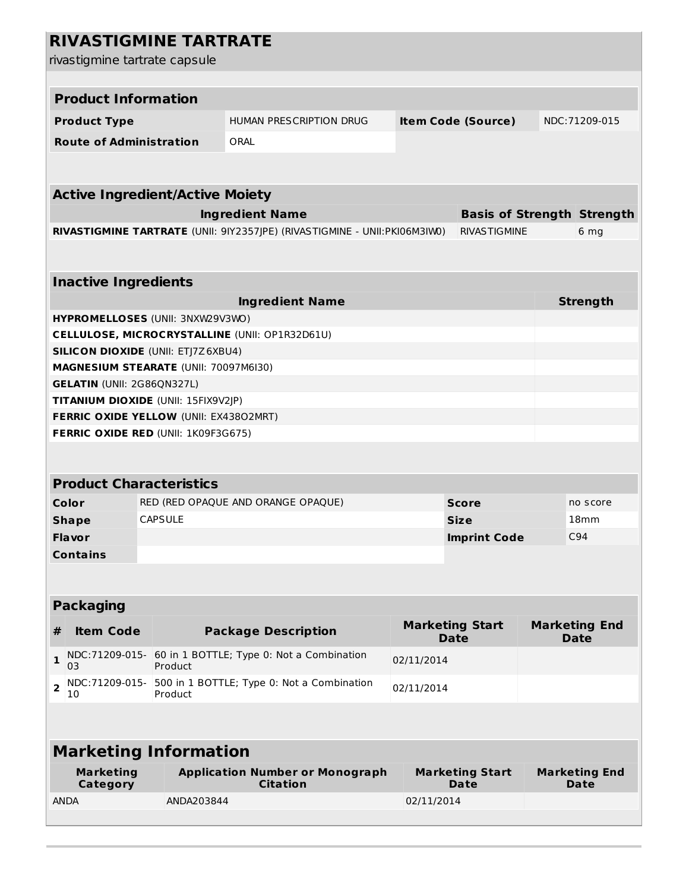| <b>RIVASTIGMINE TARTRATE</b>                                                                                                              |                                                          |                                |                                       |                  |                                     |  |  |  |
|-------------------------------------------------------------------------------------------------------------------------------------------|----------------------------------------------------------|--------------------------------|---------------------------------------|------------------|-------------------------------------|--|--|--|
| rivastigmine tartrate capsule                                                                                                             |                                                          |                                |                                       |                  |                                     |  |  |  |
|                                                                                                                                           |                                                          |                                |                                       |                  |                                     |  |  |  |
| <b>Product Information</b>                                                                                                                |                                                          |                                |                                       |                  |                                     |  |  |  |
| <b>Product Type</b>                                                                                                                       | HUMAN PRESCRIPTION DRUG<br><b>Item Code (Source)</b>     |                                |                                       |                  | NDC:71209-015                       |  |  |  |
| <b>Route of Administration</b>                                                                                                            | ORAL                                                     |                                |                                       |                  |                                     |  |  |  |
|                                                                                                                                           |                                                          |                                |                                       |                  |                                     |  |  |  |
|                                                                                                                                           |                                                          |                                |                                       |                  |                                     |  |  |  |
|                                                                                                                                           | <b>Active Ingredient/Active Moiety</b>                   |                                |                                       |                  |                                     |  |  |  |
| <b>Ingredient Name</b><br><b>Basis of Strength Strength</b><br>RIVASTIGMINE TARTRATE (UNII: 9IY2357JPE) (RIVASTIGMINE - UNII: PKI06M3IW0) |                                                          |                                |                                       |                  |                                     |  |  |  |
|                                                                                                                                           |                                                          |                                | <b>RIVASTIGMINE</b>                   |                  | 6 mg                                |  |  |  |
|                                                                                                                                           |                                                          |                                |                                       |                  |                                     |  |  |  |
| <b>Inactive Ingredients</b>                                                                                                               |                                                          |                                |                                       |                  |                                     |  |  |  |
|                                                                                                                                           | <b>Ingredient Name</b>                                   |                                |                                       |                  | <b>Strength</b>                     |  |  |  |
| HYPROMELLOSES (UNII: 3NXW29V3WO)                                                                                                          |                                                          |                                |                                       |                  |                                     |  |  |  |
| <b>CELLULOSE, MICROCRYSTALLINE (UNII: OP1R32D61U)</b>                                                                                     |                                                          |                                |                                       |                  |                                     |  |  |  |
| <b>SILICON DIOXIDE (UNII: ETJ7Z6XBU4)</b>                                                                                                 |                                                          |                                |                                       |                  |                                     |  |  |  |
| MAGNESIUM STEARATE (UNII: 70097M6I30)<br><b>GELATIN (UNII: 2G86QN327L)</b>                                                                |                                                          |                                |                                       |                  |                                     |  |  |  |
| TITANIUM DIOXIDE (UNII: 15FIX9V2JP)                                                                                                       |                                                          |                                |                                       |                  |                                     |  |  |  |
| FERRIC OXIDE YELLOW (UNII: EX43802MRT)                                                                                                    |                                                          |                                |                                       |                  |                                     |  |  |  |
| <b>FERRIC OXIDE RED (UNII: 1K09F3G675)</b>                                                                                                |                                                          |                                |                                       |                  |                                     |  |  |  |
|                                                                                                                                           |                                                          |                                |                                       |                  |                                     |  |  |  |
| <b>Product Characteristics</b>                                                                                                            |                                                          |                                |                                       |                  |                                     |  |  |  |
| Color<br>RED (RED OPAQUE AND ORANGE OPAQUE)<br><b>Score</b>                                                                               |                                                          |                                |                                       | no score         |                                     |  |  |  |
| <b>CAPSULE</b><br><b>Shape</b>                                                                                                            | <b>Size</b>                                              |                                |                                       | 18 <sub>mm</sub> |                                     |  |  |  |
| <b>Flavor</b>                                                                                                                             |                                                          |                                | <b>Imprint Code</b>                   | C94              |                                     |  |  |  |
| <b>Contains</b>                                                                                                                           |                                                          |                                |                                       |                  |                                     |  |  |  |
|                                                                                                                                           |                                                          |                                |                                       |                  |                                     |  |  |  |
|                                                                                                                                           |                                                          |                                |                                       |                  |                                     |  |  |  |
| <b>Packaging</b>                                                                                                                          |                                                          |                                |                                       |                  |                                     |  |  |  |
| <b>Item Code</b><br>#                                                                                                                     | <b>Package Description</b>                               |                                | <b>Marketing Start</b><br><b>Date</b> |                  | <b>Marketing End</b><br><b>Date</b> |  |  |  |
| NDC:71209-015-<br>$\mathbf{1}$<br>03<br>Product                                                                                           | 60 in 1 BOTTLE; Type 0: Not a Combination                | 02/11/2014                     |                                       |                  |                                     |  |  |  |
| NDC:71209-015-<br>$\overline{2}$<br>Product<br>10                                                                                         | 500 in 1 BOTTLE; Type 0: Not a Combination<br>02/11/2014 |                                |                                       |                  |                                     |  |  |  |
|                                                                                                                                           |                                                          |                                |                                       |                  |                                     |  |  |  |
| <b>Marketing Information</b>                                                                                                              |                                                          |                                |                                       |                  |                                     |  |  |  |
| <b>Marketing</b><br><b>Application Number or Monograph</b><br><b>Citation</b><br>Category                                                 |                                                          | <b>Marketing Start</b><br>Date |                                       |                  | <b>Marketing End</b><br>Date        |  |  |  |
| <b>ANDA</b><br>ANDA203844                                                                                                                 |                                                          | 02/11/2014                     |                                       |                  |                                     |  |  |  |
|                                                                                                                                           |                                                          |                                |                                       |                  |                                     |  |  |  |